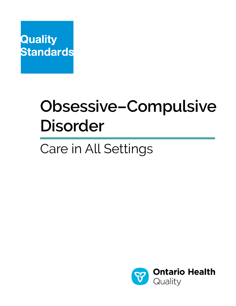

# **Obsessive–Compulsive Disorder**

# Care in All Settings

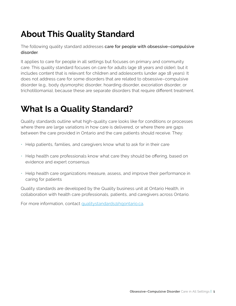# **About This Quality Standard**

The following quality standard addresses care for people with obsessive-compulsive disorder.

It applies to care for people in all settings but focuses on primary and community care. This quality standard focuses on care for adults (age 18 years and older), but it includes content that is relevant for children and adolescents (under age 18 years). It does not address care for some disorders that are related to obsessive–compulsive disorder (e.g., body dysmorphic disorder, hoarding disorder, excoriation disorder, or trichotillomania), because these are separate disorders that require different treatment.

# **What Is a Quality Standard?**

Quality standards outline what high-quality care looks like for conditions or processes where there are large variations in how care is delivered, or where there are gaps between the care provided in Ontario and the care patients should receive. They:

- Help patients, families, and caregivers know what to ask for in their care
- Help health care professionals know what care they should be offering, based on evidence and expert consensus
- Help health care organizations measure, assess, and improve their performance in caring for patients

Quality standards are developed by the Quality business unit at Ontario Health, in collaboration with health care professionals, patients, and caregivers across Ontario.

For more information, contact [qualitystandards@hqontario.ca.](mailto:qualitystandards%40hqontario.ca?subject=)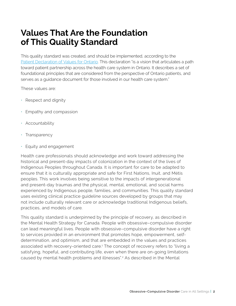# **Values That Are the Foundation of This Quality Standard**

This quality standard was created, and should be implemented, according to the [Patient Declaration of Values for Ontario.](https://www.ontario.ca/page/patient-declaration-values-ontario) This declaration "is a vision that articulates a path toward patient partnership across the health care system in Ontario. It describes a set of foundational principles that are considered from the perspective of Ontario patients, and serves as a guidance document for those involved in our health care system."

These values are:

- Respect and dignity
- Empathy and compassion
- Accountability
- Transparency
- Equity and engagement

Health care professionals should acknowledge and work toward addressing the historical and present-day impacts of colonization in the context of the lives of Indigenous Peoples throughout Canada. It is important for care to be adapted to ensure that it is culturally appropriate and safe for First Nations, Inuit, and Métis peoples. This work involves being sensitive to the impacts of intergenerational and present-day traumas and the physical, mental, emotional, and social harms experienced by Indigenous people, families, and communities. This quality standard uses existing clinical practice guideline sources developed by groups that may not include culturally relevant care or acknowledge traditional Indigenous beliefs, practices, and models of care.

This quality standard is underpinned by the principle of recovery, as described in the Mental Health Strategy for Canada. People with obsessive–compulsive disorder can lead meaningful lives. People with obsessive–compulsive disorder have a right to services provided in an environment that promotes hope, empowerment, selfdetermination, and optimism, and that are embedded in the values and practices associated with recovery-oriented care.<sup>1</sup> The concept of recovery refers to "living a satisfying, hopeful, and contributing life, even when there are on-going limitations caused by mental health problems and illnesses".<sup>2</sup> As described in the Mental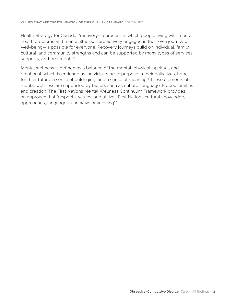Health Strategy for Canada, "recovery—a process in which people living with mental health problems and mental illnesses are actively engaged in their own journey of well-being—is possible for everyone. Recovery journeys build on individual, family, cultural, and community strengths and can be supported by many types of services, supports, and treatments".<sup>1</sup>

Mental wellness is defined as a balance of the mental, physical, spiritual, and emotional, which is enriched as individuals have: purpose in their daily lives, hope for their future, a sense of belonging, and a sense of meaning.3 These elements of mental wellness are supported by factors such as culture, language, Elders, families, and creation. The First Nations Mental Wellness Continuum Framework provides an approach that "respects, values, and utilizes First Nations cultural knowledge, approaches, languages, and ways of knowing".3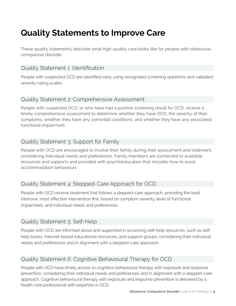# **Quality Statements to Improve Care**

These quality statements describe what high-quality care looks like for people with obsessive– compulsive disorder.

#### Quality Statement 1: Identification

People with suspected OCD are identified early using recognized screening questions and validated severity-rating scales.

### Quality Statement 2: Comprehensive Assessment

People with suspected OCD, or who have had a positive screening result for OCD, receive a timely comprehensive assessment to determine whether they have OCD, the severity of their symptoms, whether they have any comorbid conditions, and whether they have any associated functional impairment.

## Quality Statement 3: Support for Family

People with OCD are encouraged to involve their family during their assessment and treatment, considering individual needs and preferences. Family members are connected to available resources and supports and provided with psychoeducation that includes how to avoid accommodation behaviours.

## Quality Statement 4: Stepped-Care Approach for OCD

People with OCD receive treatment that follows a stepped-care approach, providing the least intensive, most effective intervention first, based on symptom severity, level of functional impairment, and individual needs and preferences.

## Quality Statement 5: Self-Help

People with OCD are informed about and supported in accessing self-help resources, such as selfhelp books, Internet-based educational resources, and support groups, considering their individual needs and preferences and in alignment with a stepped-care approach.

## Quality Statement 6: Cognitive Behavioural Therapy for OCD

People with OCD have timely access to cognitive behavioural therapy with exposure and response prevention, considering their individual needs and preferences and in alignment with a stepped-care approach. Cognitive behavioural therapy with exposure and response prevention is delivered by a health care professional with expertise in OCD.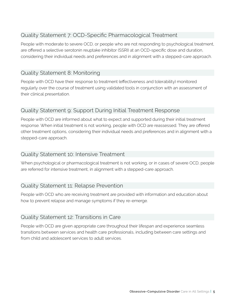# Quality Statement 7: OCD-Specific Pharmacological Treatment

People with moderate to severe OCD, or people who are not responding to psychological treatment, are offered a selective serotonin reuptake inhibitor (SSRI) at an OCD-specific dose and duration, considering their individual needs and preferences and in alignment with a stepped-care approach.

### Quality Statement 8: Monitoring

People with OCD have their response to treatment (effectiveness and tolerability) monitored regularly over the course of treatment using validated tools in conjunction with an assessment of their clinical presentation.

#### Quality Statement 9: Support During Initial Treatment Response

People with OCD are informed about what to expect and supported during their initial treatment response. When initial treatment is not working, people with OCD are reassessed. They are offered other treatment options, considering their individual needs and preferences and in alignment with a stepped-care approach.

#### Quality Statement 10: Intensive Treatment

When psychological or pharmacological treatment is not working, or in cases of severe OCD, people are referred for intensive treatment, in alignment with a stepped-care approach.

#### Quality Statement 11: Relapse Prevention

People with OCD who are receiving treatment are provided with information and education about how to prevent relapse and manage symptoms if they re-emerge.

#### Quality Statement 12: Transitions in Care

People with OCD are given appropriate care throughout their lifespan and experience seamless transitions between services and health care professionals, including between care settings and from child and adolescent services to adult services.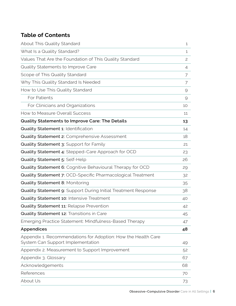# **Table of Contents**

| About This Quality Standard                                                                        | $\mathbf{1}$   |
|----------------------------------------------------------------------------------------------------|----------------|
| What Is a Quality Standard?                                                                        | 1              |
| Values That Are the Foundation of This Quality Standard                                            | $\overline{c}$ |
| Quality Statements to Improve Care                                                                 | 4              |
| Scope of This Quality Standard                                                                     | 7              |
| Why This Quality Standard Is Needed                                                                | 7              |
| How to Use This Quality Standard                                                                   | $\Theta$       |
| For Patients                                                                                       | 9              |
| For Clinicians and Organizations                                                                   | 10             |
| How to Measure Overall Success                                                                     | 11             |
| Quality Statements to Improve Care: The Details                                                    | 13             |
| Quality Statement 1: Identification                                                                | 14             |
| Quality Statement 2: Comprehensive Assessment                                                      | 18             |
| Quality Statement 3: Support for Family                                                            | 21             |
| Quality Statement 4: Stepped-Care Approach for OCD                                                 | 23             |
| Quality Statement 5: Self-Help                                                                     | 26             |
| Quality Statement 6: Cognitive Behavioural Therapy for OCD                                         | 29             |
| Quality Statement 7: OCD-Specific Pharmacological Treatment                                        | 32             |
| <b>Quality Statement 8: Monitoring</b>                                                             | 35             |
| Quality Statement 9: Support During Initial Treatment Response                                     | 38             |
| Quality Statement 10: Intensive Treatment                                                          | 40             |
| Quality Statement 11: Relapse Prevention                                                           | 42             |
| Quality Statement 12: Transitions in Care                                                          | 45             |
| Emerging Practice Statement: Mindfulness-Based Therapy                                             | 47             |
| Appendices                                                                                         | 48             |
| Appendix 1. Recommendations for Adoption: How the Health Care<br>System Can Support Implementation | 49             |
| Appendix 2. Measurement to Support Improvement                                                     | 52             |
| Appendix 3. Glossary                                                                               | 67             |
| Acknowledgements                                                                                   | 68             |
| References                                                                                         | 70             |
| About Us                                                                                           | 73             |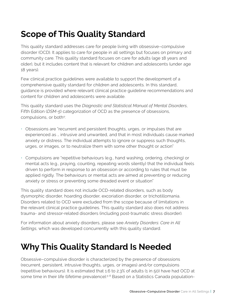# **Scope of This Quality Standard**

This quality standard addresses care for people living with obsessive–compulsive disorder (OCD). It applies to care for people in all settings but focuses on primary and community care. This quality standard focuses on care for adults (age 18 years and older), but it includes content that is relevant for children and adolescents (under age 18 years).

Few clinical practice guidelines were available to support the development of a comprehensive quality standard for children and adolescents. In this standard, guidance is provided where relevant clinical practice guideline recommendations and content for children and adolescents were available.

This quality standard uses the *Diagnostic and Statistical Manual of Mental Disorders*, Fifth Edition (*DSM-5*) categorization of OCD as the presence of obsessions, compulsions, or both4:

- Obsessions are "recurrent and persistent thoughts, urges, or impulses that are experienced as … intrusive and unwanted, and that in most individuals cause marked anxiety or distress. The individual attempts to ignore or suppress such thoughts, urges, or images, or to neutralize them with some other thought or action"
- Compulsions are "repetitive behaviours (e.g., hand washing, ordering, checking) or mental acts (e.g., praying, counting, repeating words silently) that the individual feels driven to perform in response to an obsession or according to rules that must be applied rigidly. The behaviours or mental acts are aimed at preventing or reducing anxiety or stress or preventing some dreaded event or situation"

This quality standard does not include OCD-related disorders, such as body dysmorphic disorder, hoarding disorder, excoriation disorder, or trichotillomania. Disorders related to OCD were excluded from the scope because of limitations in the relevant clinical practice guidelines. This quality standard also does not address trauma- and stressor-related disorders (including post-traumatic stress disorder).

For information about anxiety disorders, please see *Anxiety Disorders: Care in All Settings*, which was developed concurrently with this quality standard.

# **Why This Quality Standard Is Needed**

Obsessive–compulsive disorder is characterized by the presence of obsessions (recurrent, persistent, intrusive thoughts, urges, or images) and/or compulsions (repetitive behaviours). It is estimated that 1.6 to 2.3% of adults (1 in 50) have had OCD at some time in their life (lifetime prevalence).<sup>5-8</sup> Based on a Statistics Canada population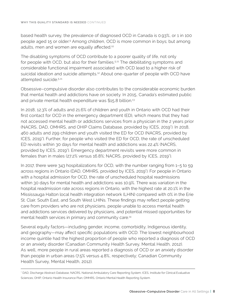based health survey, the prevalence of diagnosed OCD in Canada is 0.93%, or 1 in 100 people aged 15 or older.9 Among children, OCD is more common in boys; but among adults, men and women are equally affected.<sup>10</sup>

The disabling symptoms of OCD contribute to a poorer quality of life, not only for people with OCD, but also for their families.<sup>5,11</sup> The debilitating symptoms and considerable functional impairment associated with OCD lead to a higher risk of suicidal ideation and suicide attempts.<sup>12</sup> About one-quarter of people with OCD have attempted suicide.5,11

Obsessive–compulsive disorder also contributes to the considerable economic burden that mental health and addictions have on society. In 2015, Canada's estimated public and private mental health expenditure was \$15.8 billion.<sup>13</sup>

In 2018, 12.3% of adults and 21.6% of children and youth in Ontario with OCD had their first contact for OCD in the emergency department (ED), which means that they had not accessed mental health or addictions services from a physician in the 2 years prior (NACRS, DAD, OMHRS, and OHIP Claims Database, provided by ICES, 2019\*). In 2018, 460 adults and 299 children and youth visited the ED for OCD (NACRS, provided by ICES, 2019'). Further, for people who visited the ED for OCD, the rate of unscheduled ED revisits within 30 days for mental health and addictions was 22.4% (NACRS, provided by ICES, 2019\*). Emergency department revisits were more common in females than in males (27.2% versus 16.8%; NACRS, provided by ICES, 2019\*).

In 2017, there were 343 hospitalizations for OCD, with the number ranging from 1–5 to 59 across regions in Ontario (DAD, OMHRS, provided by ICES, 2019<sup>\*</sup>). For people in Ontario with a hospital admission for OCD, the rate of unscheduled hospital readmissions within 30 days for mental health and addictions was 10.9%. There was variation in the hospital readmission rate across regions in Ontario, with the highest rate at 20.1% in the Mississauga Halton local health integration network (LHIN) compared with 0% in the Erie St. Clair, South East, and South West LHINs. These findings may reflect people getting care from providers who are not physicians, people unable to access mental health and addictions services delivered by physicians, and potential missed opportunities for mental health services in primary and community care.<sup>14</sup>

Several equity factors—including gender, income, comorbidity, Indigenous identity, and geography—may affect specific populations with OCD. The lowest neighbourhood income quintile had the highest proportion of people who reported a diagnosis of OCD or an anxiety disorder (Canadian Community Health Survey, Mental Health, 2012). As well, more people in rural areas reported a diagnosis of OCD or an anxiety disorder than people in urban areas (7.5% versus 4.8%, respectively; Canadian Community Health Survey, Mental Health, 2012).

<sup>\*</sup> DAD, Discharge Abstract Database; NACRS, National Ambulatory Care Reporting System; ICES, Institute for Clinical Evaluative Sciences; OHIP, Ontario Health Insurance Plan; OMHRS, Ontario Mental Health Reporting System.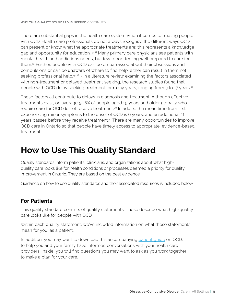There are substantial gaps in the health care system when it comes to treating people with OCD. Health care professionals do not always recognize the different ways OCD can present or know what the appropriate treatments are; this represents a knowledge gap and opportunity for education.<sup>15-18</sup> Many primary care physicians see patients with mental health and addictions needs, but few report feeling well prepared to care for them.13 Further, people with OCD can be embarrassed about their obsessions and compulsions or can be unaware of where to find help; either can result in them not seeking professional help.15,16,19 In a literature review examining the factors associated with non-treatment or delayed treatment seeking, the research studies found that people with OCD delay seeking treatment for many years, ranging from 3 to 17 years.19

These factors all contribute to delays in diagnosis and treatment. Although effective treatments exist, on average 52.8% of people aged 15 years and older globally who require care for OCD do not receive treatment.<sup>20</sup> In adults, the mean time from first experiencing minor symptoms to the onset of OCD is 6 years, and an additional 11 years passes before they receive treatment.21 There are many opportunities to improve OCD care in Ontario so that people have timely access to appropriate, evidence-based treatment.

# **How to Use This Quality Standard**

Quality standards inform patients, clinicians, and organizations about what highquality care looks like for health conditions or processes deemed a priority for quality improvement in Ontario. They are based on the best evidence.

Guidance on how to use quality standards and their associated resources is included below.

## **For Patients**

This quality standard consists of quality statements. These describe what high-quality care looks like for people with OCD.

Within each quality statement, we've included information on what these statements mean for you, as a patient.

In addition, you may want to download this accompanying [patient guide](https://www.hqontario.ca/evidence-to-improve-care/quality-standards/view-all-quality-standards/obsessive-compulsive-disorder) on OCD, to help you and your family have informed conversations with your health care providers. Inside, you will find questions you may want to ask as you work together to make a plan for your care.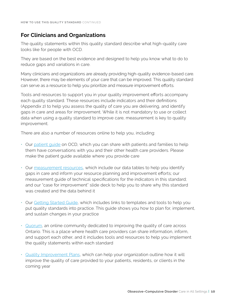### **For Clinicians and Organizations**

The quality statements within this quality standard describe what high-quality care looks like for people with OCD.

They are based on the best evidence and designed to help you know what to do to reduce gaps and variations in care.

Many clinicians and organizations are already providing high-quality evidence-based care. However, there may be elements of your care that can be improved. This quality standard can serve as a resource to help you prioritize and measure improvement efforts.

Tools and resources to support you in your quality improvement efforts accompany each quality standard. These resources include indicators and their definitions (Appendix 2) to help you assess the quality of care you are delivering, and identify gaps in care and areas for improvement. While it is not mandatory to use or collect data when using a quality standard to improve care, measurement is key to quality improvement.

There are also a number of resources online to help you, including:

- Our [patient guide](www.hqontario.ca/evidence-to-improve-care/quality-standards/view-all-quality-standards/obsessive-compulsive-disorder) on OCD, which you can share with patients and families to help them have conversations with you and their other health care providers. Please make the patient guide available where you provide care
- Our [measurement resources](www.hqontario.ca/evidence-to-improve-care/quality-standards/view-all-quality-standards/obsessive-compulsive-disorder), which include our data tables to help you identify gaps in care and inform your resource planning and improvement efforts; our measurement guide of technical specifications for the indicators in this standard; and our "case for improvement" slide deck to help you to share why this standard was created and the data behind it
- Our [Getting Started Guide,](www.hqontario.ca/evidence-to-improve-care/quality-standards/view-all-quality-standards/obsessive-compulsive-disorder) which includes links to templates and tools to help you put quality standards into practice. This guide shows you how to plan for, implement, and sustain changes in your practice
- [Quorum,](https://quorum.hqontario.ca/en/?utm_source=HQO%20Corporate_twitter&utm_campaign=Quorum%20Hard%20Launch&utm_medium=Email) an online community dedicated to improving the quality of care across Ontario. This is a place where health care providers can share information, inform, and support each other, and it includes tools and resources to help you implement the quality statements within each standard
- [Quality Improvement Plans](https://www.hqontario.ca/Quality-Improvement/Quality-Improvement-Plans), which can help your organization outline how it will improve the quality of care provided to your patients, residents, or clients in the coming year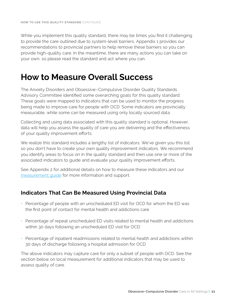While you implement this quality standard, there may be times you find it challenging to provide the care outlined due to system-level barriers. Appendix 1 provides our recommendations to provincial partners to help remove these barriers so you can provide high-quality care. In the meantime, there are many actions you can take on your own, so please read the standard and act where you can.

# **How to Measure Overall Success**

The Anxiety Disorders and Obsessive–Compulsive Disorder Quality Standards Advisory Committee identified some overarching goals for this quality standard. These goals were mapped to indicators that can be used to monitor the progress being made to improve care for people with OCD. Some indicators are provincially measurable, while some can be measured using only locally sourced data.

Collecting and using data associated with this quality standard is optional. However, data will help you assess the quality of care you are delivering and the effectiveness of your quality improvement efforts.

We realize this standard includes a lengthy list of indicators. We've given you this list so you don't have to create your own quality improvement indicators. We recommend you identify areas to focus on in the quality standard and then use one or more of the associated indicators to guide and evaluate your quality improvement efforts.

See Appendix 2 for additional details on how to measure these indicators and our [measurement guide](https://www.hqontario.ca/evidence-to-improve-care/quality-standards/view-all-quality-standards/obsessive-compulsive-disorder) for more information and support.

## **Indicators That Can Be Measured Using Provincial Data**

- Percentage of people with an unscheduled ED visit for OCD for whom the ED was the first point of contact for mental health and addictions care
- Percentage of repeat unscheduled ED visits related to mental health and addictions within 30 days following an unscheduled ED visit for OCD
- Percentage of inpatient readmissions related to mental health and addictions within 30 days of discharge following a hospital admission for OCD

The above indicators may capture care for only a subset of people with OCD. See the section below on local measurement for additional indicators that may be used to assess quality of care.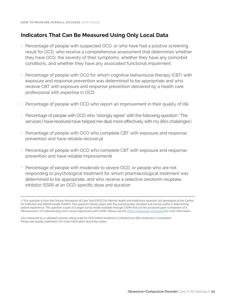## **Indicators That Can Be Measured Using Only Local Data**

- Percentage of people with suspected OCD, or who have had a positive screening result for OCD, who receive a comprehensive assessment that determines whether they have OCD, the severity of their symptoms, whether they have any comorbid conditions, and whether they have any associated functional impairment
- Percentage of people with OCD for whom cognitive behavioural therapy (CBT) with exposure and response prevention was determined to be appropriate and who receive CBT with exposure and response prevention delivered by a health care professional with expertise in OCD
- Percentage of people with OCD who report an improvement in their quality of life
- Percentage of people with OCD who "strongly agree" with the following question: "The services I have received have helped me deal more effectively with my life's challenges"<sup>+</sup>
- Percentage of people with OCD who complete CBT with exposure and response prevention and have reliable recovery‡
- Percentage of people with OCD who complete CBT with exposure and response prevention and have reliable improvement‡
- Percentage of people with moderate to severe OCD, or people who are not responding to psychological treatment for whom pharmacological treatment was determined to be appropriate, and who receive a selective serotonin reuptake inhibitor (SSRI) at an OCD-specific dose and duration

 <sup>†</sup> This question is from the Ontario Perception of Care Tool (OPOC) for Mental Health and Addictions (question 30) developed at the Centre for Addiction and Mental Health (CAMH). This question closely aligns with the overall quality standard and can be useful in determining patient experience. This question is part of a larger survey made available through CAMH that can be accessed upon completion of a Memorandum of Understanding and License Agreement with CAMH. Please see the [OPOC Community of Practice](https://www.eenetconnect.ca/g/provincial-opoc-cop/) for more information.

<sup>‡</sup> As measured by a validated severity-rating scale for OCD before treatment is initiated and after treatment is completed. Please see quality statement 1 for more information about the scales.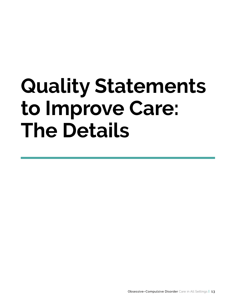# **Quality Statements to Improve Care: The Details**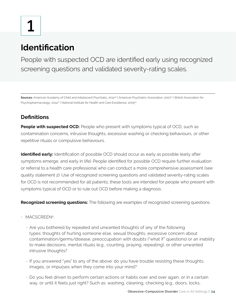# **Identification**

People with suspected OCD are identified early using recognized screening questions and validated severity-rating scales.

Sources: American Academy of Child and Adolescent Psychiatry, 2012<sup>26</sup> | American Psychiatric Association, 2007<sup>27</sup> | British Association for Psychopharmacology, 2014<sup>27</sup> | National Institute for Health and Care Excellence, 2005<sup>22</sup>

# **Definitions**

**People with suspected OCD:** People who present with symptoms typical of OCD, such as contamination concerns, intrusive thoughts, excessive washing or checking behaviours, or other repetitive rituals or compulsive behaviours.

**Identified early:** Identification of possible OCD should occur as early as possible (early after symptoms emerge, and early in life). People identified for possible OCD require further evaluation or referral to a health care professional who can conduct a more comprehensive assessment (see quality statement 2). Use of recognized screening questions and validated severity-rating scales for OCD is not recommended for all patients; these tools are intended for people who present with symptoms typical of OCD or to rule out OCD before making a diagnosis.

**Recognized screening questions:** The following are examples of recognized screening questions.

- MACSCREEN5:
	- Are you bothered by repeated and unwanted thoughts of any of the following types: thoughts of hurting someone else, sexual thoughts, excessive concern about contamination/germs/disease, preoccupation with doubts ("what if" questions) or an inability to make decisions, mental rituals (e.g., counting, praying, repeating), or other unwanted intrusive thoughts?
	- If you answered "yes" to any of the above: do you have trouble resisting these thoughts, images, or impulses when they come into your mind?
	- Do you feel driven to perform certain actions or habits over and over again, or in a certain way, or until it feels just right? Such as: washing, cleaning, checking (e.g., doors, locks,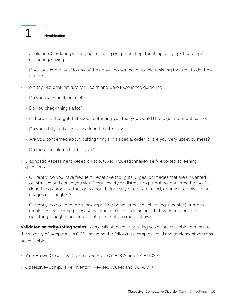# **1 Identification**

appliances), ordering/arranging, repeating (e.g., counting, touching, praying), hoarding/ collecting/saving

- If you answered "yes" to any of the above: do you have trouble resisting the urge to do these things?
- From the National Institute for Health and Care Excellence quideline<sup>22</sup>:
	- Do you wash or clean a lot?
	- Do you check things a lot?
	- Is there any thought that keeps bothering you that you would like to get rid of but cannot?
	- Do your daily activities take a long time to finish?
	- Are you concerned about putting things in a special order, or are you very upset by mess?
	- Do these problems trouble you?
- Diagnostic Assessment Research Tool (DART) Questionnaire<sup>23</sup> self-reported screening questions:
	- Currently, do you have frequent, repetitive thoughts, urges, or images that are unwanted or intrusive and cause you significant anxiety or distress (e.g., doubts about whether you've done things properly, thoughts about being dirty or contaminated, or unwanted disturbing images or thoughts)?
	- Currently, do you engage in any repetitive behaviours (e.g., checking, cleaning) or mental rituals (e.g., repeating phrases) that you can't resist doing and that are in response to upsetting thoughts or because of rules that you must follow?

**Validated severity-rating scales:** Many validated severity-rating scales are available to measure the severity of symptoms in OCD, including the following examples (child and adolescent versions are available):

- Yale-Brown Obsessive Compulsive Scale (Y-BOCS and CY-BOCS)<sup>24</sup>
- Obsessive–Compulsive Inventory Revised (OCI-R and OCI-CV)<sup>25</sup>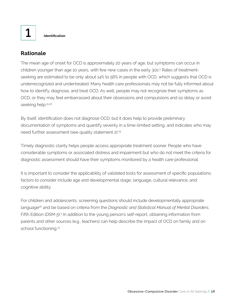**1 Identification**

## **Rationale**

The mean age of onset for OCD is approximately 20 years of age, but symptoms can occur in children younger than age 10 years, with few new cases in the early 30s.<sup>5</sup> Rates of treatmentseeking are estimated to be only about 14% to 56% in people with OCD, which suggests that OCD is underrecognized and undertreated. Many health care professionals may not be fully informed about how to identify, diagnose, and treat OCD. As well, people may not recognize their symptoms as OCD, or they may feel embarrassed about their obsessions and compulsions and so delay or avoid seeking help.<sup>15,16</sup>

By itself, identification does not diagnose OCD, but it does help to provide preliminary documentation of symptoms and quantify severity in a time-limited setting, and indicates who may need further assessment (see quality statement 2).<sup>29</sup>

Timely diagnostic clarity helps people access appropriate treatment sooner. People who have considerable symptoms or associated distress and impairment but who do not meet the criteria for diagnostic assessment should have their symptoms monitored by a health care professional.

It is important to consider the applicability of validated tools for assessment of specific populations; factors to consider include age and developmental stage, language, cultural relevance, and cognitive ability.

For children and adolescents, screening questions should include developmentally appropriate language26 and be based on criteria from the *Diagnostic and Statistical Manual of Mental Disorders*, Fifth Edition (DSM-5).<sup>4</sup> In addition to the young person's self-report, obtaining information from parents and other sources (e.g., teachers) can help describe the impact of OCD on family and on school functioning.<sup>22</sup>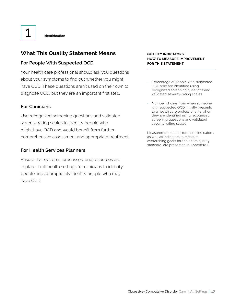# **What This Quality Statement Means**

#### **For People With Suspected OCD**

Your health care professional should ask you questions about your symptoms to find out whether you might have OCD. These questions aren't used on their own to diagnose OCD, but they are an important first step.

#### **For Clinicians**

Use recognized screening questions and validated severity-rating scales to identify people who might have OCD and would benefit from further comprehensive assessment and appropriate treatment.

#### **For Health Services Planners**

Ensure that systems, processes, and resources are in place in all health settings for clinicians to identify people and appropriately identify people who may have OCD.

#### **QUALITY INDICATORS: HOW TO MEASURE IMPROVEMENT FOR THIS STATEMENT**

- Percentage of people with suspected OCD who are identified using recognized screening questions and validated severity-rating scales
- Number of days from when someone with suspected OCD initially presents to a health care professional to when they are identified using recognized screening questions and validated severity-rating scales

Measurement details for these indicators, as well as indicators to measure overarching goals for the entire quality standard, are presented in Appendix 2.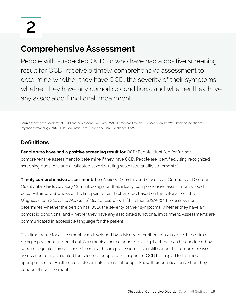# **Comprehensive Assessment**

People with suspected OCD, or who have had a positive screening result for OCD, receive a timely comprehensive assessment to determine whether they have OCD, the severity of their symptoms, whether they have any comorbid conditions, and whether they have any associated functional impairment.

Sources: American Academy of Child and Adolescent Psychiatry, 2012<sup>26</sup> | American Psychiatric Association, 2007<sup>27</sup> | British Association for Psychopharmacology, 2014<sup>27</sup> | National Institute for Health and Care Excellence, 2005<sup>22</sup>

# **Definitions**

**People who have had a positive screening result for OCD:** People identified for further comprehensive assessment to determine if they have OCD. People are identified using recognized screening questions and a validated severity-rating scale (see quality statement 1).

**Timely comprehensive assessment:** The Anxiety Disorders and Obsessive-Compulsive Disorder Quality Standards Advisory Committee agreed that, ideally, comprehensive assessment should occur within 4 to 8 weeks of the first point of contact, and be based on the criteria from the *Diagnostic and Statistical Manual of Mental Disorders*, Fifth Edition (*DSM-5*).4 The assessment determines whether the person has OCD, the severity of their symptoms, whether they have any comorbid conditions, and whether they have any associated functional impairment. Assessments are communicated in accessible language for the patient.

This time frame for assessment was developed by advisory committee consensus with the aim of being aspirational and practical. Communicating a diagnosis is a legal act that can be conducted by specific regulated professions. Other health care professionals can still conduct a comprehensive assessment using validated tools to help people with suspected OCD be triaged to the most appropriate care. Health care professionals should let people know their qualifications when they conduct the assessment.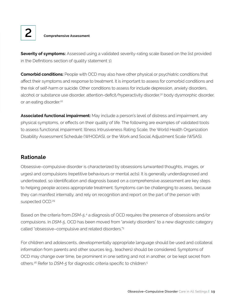

**2 Comprehensive Assessment**

**Severity of symptoms:** Assessed using a validated severity-rating scale (based on the list provided in the Definitions section of quality statement 1).

**Comorbid conditions:** People with OCD may also have other physical or psychiatric conditions that affect their symptoms and response to treatment. It is important to assess for comorbid conditions and the risk of self-harm or suicide. Other conditions to assess for include depression, anxiety disorders, alcohol or substance use disorder, attention-deficit/hyperactivity disorder,<sup>30</sup> body dysmorphic disorder, or an eating disorder.<sup>22</sup>

**Associated functional impairment:** May include a person's level of distress and impairment, any physical symptoms, or effects on their quality of life. The following are examples of validated tools to assess functional impairment: Illness Intrusiveness Rating Scale, the World Health Organization Disability Assessment Schedule (WHODAS), or the Work and Social Adjustment Scale (WSAS).

## **Rationale**

Obsessive–compulsive disorder is characterized by obsessions (unwanted thoughts, images, or urges) and compulsions (repetitive behaviours or mental acts). It is generally underdiagnosed and undertreated, so identification and diagnosis based on a comprehensive assessment are key steps to helping people access appropriate treatment. Symptoms can be challenging to assess, because they can manifest internally, and rely on recognition and report on the part of the person with suspected OCD.<sup>29</sup>

Based on the criteria from *DSM-5*,<sup>4</sup> a diagnosis of OCD requires the presence of obsessions and/or compulsions. In *DSM-5*, OCD has been moved from "anxiety disorders" to a new diagnostic category called "obsessive–compulsive and related disorders."5

For children and adolescents, developmentally appropriate language should be used and collateral information from parents and other sources (e.g., teachers) should be considered. Symptoms of OCD may change over time, be prominent in one setting and not in another, or be kept secret from others.26 Refer to *DSM-5* for diagnostic criteria specific to children.5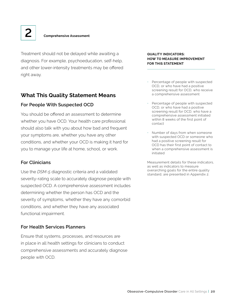Treatment should not be delayed while awaiting a diagnosis. For example, psychoeducation, self-help, and other lower-intensity treatments may be offered right away.

## **What This Quality Statement Means**

#### **For People With Suspected OCD**

You should be offered an assessment to determine whether you have OCD. Your health care professional should also talk with you about how bad and frequent your symptoms are, whether you have any other conditions, and whether your OCD is making it hard for you to manage your life at home, school, or work.

#### **For Clinicians**

Use the *DSM-5* diagnostic criteria and a validated severity-rating scale to accurately diagnose people with suspected OCD. A comprehensive assessment includes determining whether the person has OCD and the severity of symptoms, whether they have any comorbid conditions, and whether they have any associated functional impairment.

#### **For Health Services Planners**

Ensure that systems, processes, and resources are in place in all health settings for clinicians to conduct comprehensive assessments and accurately diagnose people with OCD.

#### **QUALITY INDICATORS: HOW TO MEASURE IMPROVEMENT FOR THIS STATEMENT**

- Percentage of people with suspected OCD, or who have had a positive screening result for OCD, who receive a comprehensive assessment
- Percentage of people with suspected OCD, or who have had a positive screening result for OCD, who have a comprehensive assessment initiated within 8 weeks of the first point of contact
- Number of days from when someone with suspected OCD or someone who had a positive screening result for OCD has their first point of contact to when a comprehensive assessment is initiated

Measurement details for these indicators, as well as indicators to measure overarching goals for the entire quality standard, are presented in Appendix 2.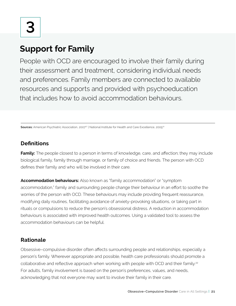# **Support for Family**

People with OCD are encouraged to involve their family during their assessment and treatment, considering individual needs and preferences. Family members are connected to available resources and supports and provided with psychoeducation that includes how to avoid accommodation behaviours.

**Sources:** American Psychiatric Association, 2007<sup>27</sup> | National Institute for Health and Care Excellence, 2005<sup>22</sup>

# **Definitions**

**Family:** The people closest to a person in terms of knowledge, care, and affection; they may include biological family, family through marriage, or family of choice and friends. The person with OCD defines their family and who will be involved in their care.

**Accommodation behaviours:** Also known as "family accommodation" or "symptom accommodation," family and surrounding people change their behaviour in an effort to soothe the worries of the person with OCD. These behaviours may include providing frequent reassurance, modifying daily routines, facilitating avoidance of anxiety-provoking situations, or taking part in rituals or compulsions to reduce the person's obsessional distress. A reduction in accommodation behaviours is associated with improved health outcomes. Using a validated tool to assess the accommodation behaviours can be helpful.

# **Rationale**

Obsessive–compulsive disorder often affects surrounding people and relationships, especially a person's family. Wherever appropriate and possible, health care professionals should promote a collaborative and reflective approach when working with people with OCD and their family.<sup>22</sup> For adults, family involvement is based on the person's preferences, values, and needs, acknowledging that not everyone may want to involve their family in their care.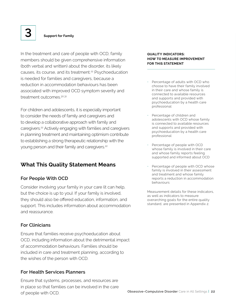In the treatment and care of people with OCD, family members should be given comprehensive information (both verbal and written) about the disorder, its likely causes, its course, and its treatment.<sup>22</sup> Psychoeducation is needed for families and caregivers, because a reduction in accommodation behaviours has been associated with improved OCD symptom severity and treatment outcomes.<sup>30,31</sup>

For children and adolescents, it is especially important to consider the needs of family and caregivers and to develop a collaborative approach with family and caregivers.22 Actively engaging with families and caregivers in planning treatment and maintaining optimism contribute to establishing a strong therapeutic relationship with the young person and their family and caregivers.<sup>22</sup>

## **What This Quality Statement Means**

#### **For People With OCD**

Consider involving your family in your care (it can help, but the choice is up to you). If your family is involved, they should also be offered education, information, and support. This includes information about accommodation and reassurance.

#### **For Clinicians**

Ensure that families receive psychoeducation about OCD, including information about the detrimental impact of accommodation behaviours. Families should be included in care and treatment planning, according to the wishes of the person with OCD.

#### **For Health Services Planners**

Ensure that systems, processes, and resources are in place so that families can be involved in the care of people with OCD.

#### **QUALITY INDICATORS: HOW TO MEASURE IMPROVEMENT FOR THIS STATEMENT**

- Percentage of adults with OCD who choose to have their family involved in their care and whose family is connected to available resources and supports and provided with psychoeducation by a health care professional
- Percentage of children and adolescents with OCD whose family is connected to available resources and supports and provided with psychoeducation by a health care professional
- Percentage of people with OCD whose family is involved in their care and whose family reports feeling supported and informed about OCD
- Percentage of people with OCD whose family is involved in their assessment and treatment and whose family reports a reduction in accommodation behaviours

Measurement details for these indicators, as well as indicators to measure overarching goals for the entire quality standard, are presented in Appendix 2.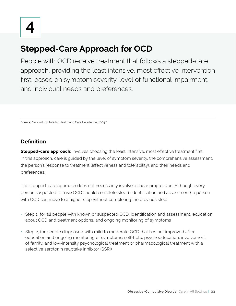# **Stepped-Care Approach for OCD**

People with OCD receive treatment that follows a stepped-care approach, providing the least intensive, most effective intervention first, based on symptom severity, level of functional impairment, and individual needs and preferences.

**Source:** National Institute for Health and Care Excellence, 2005<sup>22</sup>

## **Definition**

**Stepped-care approach:** Involves choosing the least intensive, most effective treatment first. In this approach, care is guided by the level of symptom severity, the comprehensive assessment, the person's response to treatment (effectiveness and tolerability), and their needs and preferences.

The stepped-care approach does not necessarily involve a linear progression. Although every person suspected to have OCD should complete step 1 (identification and assessment), a person with OCD can move to a higher step without completing the previous step:

- Step 1, for all people with known or suspected OCD: identification and assessment, education about OCD and treatment options, and ongoing monitoring of symptoms
- Step 2, for people diagnosed with mild to moderate OCD that has not improved after education and ongoing monitoring of symptoms: self-help, psychoeducation, involvement of family, and low-intensity psychological treatment or pharmacological treatment with a selective serotonin reuptake inhibitor (SSRI)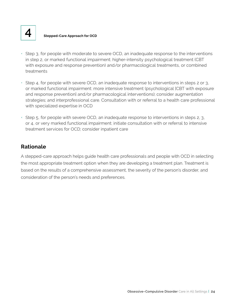**4 Stepped-Care Approach for OCD**

- Step 3, for people with moderate to severe OCD, an inadequate response to the interventions in step 2, or marked functional impairment: higher-intensity psychological treatment (CBT with exposure and response prevention) and/or pharmacological treatments, or combined treatments
- Step 4, for people with severe OCD, an inadequate response to interventions in steps 2 or 3, or marked functional impairment: more intensive treatment (psychological [CBT with exposure and response prevention] and/or pharmacological interventions); consider augmentation strategies; and interprofessional care. Consultation with or referral to a health care professional with specialized expertise in OCD
- Step 5, for people with severe OCD, an inadequate response to interventions in steps 2, 3, or 4, or very marked functional impairment: initiate consultation with or referral to intensive treatment services for OCD; consider inpatient care

## **Rationale**

A stepped-care approach helps guide health care professionals and people with OCD in selecting the most appropriate treatment option when they are developing a treatment plan. Treatment is based on the results of a comprehensive assessment, the severity of the person's disorder, and consideration of the person's needs and preferences.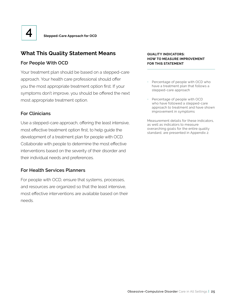

## **What This Quality Statement Means**

#### **For People With OCD**

Your treatment plan should be based on a stepped-care approach. Your health care professional should offer you the most appropriate treatment option first. If your symptoms don't improve, you should be offered the next most appropriate treatment option.

#### **For Clinicians**

Use a stepped-care approach, offering the least intensive, most effective treatment option first, to help guide the development of a treatment plan for people with OCD. Collaborate with people to determine the most effective interventions based on the severity of their disorder and their individual needs and preferences.

#### **For Health Services Planners**

For people with OCD, ensure that systems, processes, and resources are organized so that the least intensive, most effective interventions are available based on their needs.

#### **QUALITY INDICATORS: HOW TO MEASURE IMPROVEMENT FOR THIS STATEMENT**

- Percentage of people with OCD who have a treatment plan that follows a stepped-care approach
- Percentage of people with OCD who have followed a stepped-care approach to treatment and have shown improvement in symptoms

Measurement details for these indicators, as well as indicators to measure overarching goals for the entire quality standard, are presented in Appendix 2.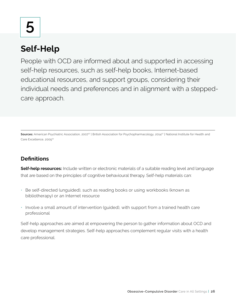# **5**

# **Self-Help**

People with OCD are informed about and supported in accessing self-help resources, such as self-help books, Internet-based educational resources, and support groups, considering their individual needs and preferences and in alignment with a steppedcare approach.

Sources: American Psychiatric Association, 2007<sup>27</sup> | British Association for Psychopharmacology, 2014<sup>27</sup> | National Institute for Health and Care Excellence, 2005<sup>22</sup>

# **Definitions**

**Self-help resources:** Include written or electronic materials of a suitable reading level and language that are based on the principles of cognitive behavioural therapy. Self-help materials can:

- Be self-directed (unguided), such as reading books or using workbooks (known as bibliotherapy) or an Internet resource
- Involve a small amount of intervention (guided), with support from a trained health care professional

Self-help approaches are aimed at empowering the person to gather information about OCD and develop management strategies. Self-help approaches complement regular visits with a health care professional.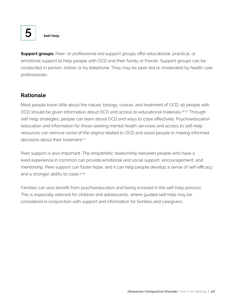

**Support groups:** Peer- or professional-led support groups offer educational, practical, or emotional support to help people with OCD and their family or friends. Support groups can be conducted in person, online, or by telephone. They may be peer-led or moderated by health care professionals.

## **Rationale**

Most people know little about the nature, biology, course, and treatment of OCD; all people with OCD should be given information about OCD and access to educational materials.<sup>26,32</sup> Through self-help strategies, people can learn about OCD and ways to cope effectively. Psychoeducation (education and information for those seeking mental health services) and access to self-help resources can remove some of the stigma related to OCD and assist people in making informed decisions about their treatment<sup>27</sup>

Peer support is also important. The empathetic relationship between people who have a lived experience in common can provide emotional and social support, encouragement, and mentorship. Peer support can foster hope, and it can help people develop a sense of self-efficacy and a stronger ability to cope.34,35

Families can also benefit from psychoeducation and being involved in the self-help process. This is especially relevant for children and adolescents, where guided self-help may be considered in conjunction with support and information for families and caregivers.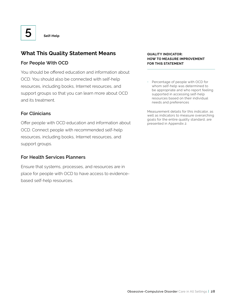## **What This Quality Statement Means**

#### **For People With OCD**

You should be offered education and information about OCD. You should also be connected with self-help resources, including books, Internet resources, and support groups so that you can learn more about OCD and its treatment.

#### **For Clinicians**

Offer people with OCD education and information about OCD. Connect people with recommended self-help resources, including books, Internet resources, and support groups.

#### **For Health Services Planners**

Ensure that systems, processes, and resources are in place for people with OCD to have access to evidencebased self-help resources.

#### **QUALITY INDICATOR: HOW TO MEASURE IMPROVEMENT FOR THIS STATEMENT**

• Percentage of people with OCD for whom self-help was determined to be appropriate and who report feeling supported in accessing self-help resources based on their individual needs and preferences

Measurement details for this indicator, as well as indicators to measure overarching goals for the entire quality standard, are presented in Appendix 2.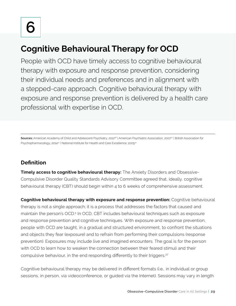# **Cognitive Behavioural Therapy for OCD**

People with OCD have timely access to cognitive behavioural therapy with exposure and response prevention, considering their individual needs and preferences and in alignment with a stepped-care approach. Cognitive behavioural therapy with exposure and response prevention is delivered by a health care professional with expertise in OCD.

**Sources:** American Academy of Child and Adolescent Psychiatry, 2012<sup>26</sup> | American Psychiatric Association, 2007<sup>27</sup> | British Association for Psychopharmacology, 2014<sup>27</sup> | National Institute for Health and Care Excellence, 2005<sup>22</sup>

# **Definition**

**Timely access to cognitive behavioural therapy:** The Anxiety Disorders and Obsessive-Compulsive Disorder Quality Standards Advisory Committee agreed that, ideally, cognitive behavioural therapy (CBT) should begin within 4 to 6 weeks of comprehensive assessment.

**Cognitive behavioural therapy with exposure and response prevention:** Cognitive behavioural therapy is not a single approach; it is a process that addresses the factors that caused and maintain the person's OCD.5 In OCD, CBT includes behavioural techniques such as exposure and response prevention and cognitive techniques. With exposure and response prevention, people with OCD are taught, in a gradual and structured environment, to confront the situations and objects they fear (exposure) and to refrain from performing their compulsions (response prevention). Exposures may include live and imagined encounters. The goal is for the person with OCD to learn how to weaken the connection between their feared stimuli and their compulsive behaviour, in the end responding differently to their triggers.<sup>27</sup>

Cognitive behavioural therapy may be delivered in different formats (i.e., in individual or group sessions, in person, via videoconference, or guided via the Internet). Sessions may vary in length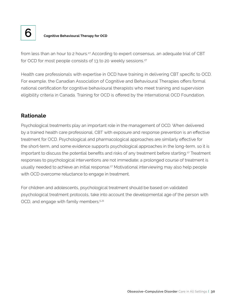

# **6 Cognitive Behavioural Therapy for OCD**

from less than an hour to 2 hours.<sup>27</sup> According to expert consensus, an adequate trial of CBT for OCD for most people consists of 13 to 20 weekly sessions.<sup>27</sup>

Health care professionals with expertise in OCD have training in delivering CBT specific to OCD. For example, the Canadian Association of Cognitive and Behavioural Therapies offers formal national certification for cognitive behavioural therapists who meet training and supervision eligibility criteria in Canada. Training for OCD is offered by the International OCD Foundation.

## **Rationale**

Psychological treatments play an important role in the management of OCD. When delivered by a trained health care professional, CBT with exposure and response prevention is an effective treatment for OCD. Psychological and pharmacological approaches are similarly effective for the short-term, and some evidence supports psychological approaches in the long-term, so it is important to discuss the potential benefits and risks of any treatment before starting.27 Treatment responses to psychological interventions are not immediate; a prolonged course of treatment is usually needed to achieve an initial response.<sup>27</sup> Motivational interviewing may also help people with OCD overcome reluctance to engage in treatment.

For children and adolescents, psychological treatment should be based on validated psychological treatment protocols, take into account the developmental age of the person with OCD, and engage with family members.<sup>5,21</sup>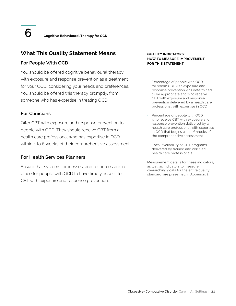

## **What This Quality Statement Means**

#### **For People With OCD**

You should be offered cognitive behavioural therapy with exposure and response prevention as a treatment for your OCD, considering your needs and preferences. You should be offered this therapy promptly, from someone who has expertise in treating OCD.

#### **For Clinicians**

Offer CBT with exposure and response prevention to people with OCD. They should receive CBT from a health care professional who has expertise in OCD within 4 to 6 weeks of their comprehensive assessment.

#### **For Health Services Planners**

Ensure that systems, processes, and resources are in place for people with OCD to have timely access to CBT with exposure and response prevention.

#### **QUALITY INDICATORS: HOW TO MEASURE IMPROVEMENT FOR THIS STATEMENT**

- Percentage of people with OCD for whom CBT with exposure and response prevention was determined to be appropriate and who receive CBT with exposure and response prevention delivered by a health care professional with expertise in OCD
- Percentage of people with OCD who receive CBT with exposure and response prevention delivered by a health care professional with expertise in OCD that begins within 6 weeks of the comprehensive assessment
- Local availability of CBT programs delivered by trained and certified health care professionals

Measurement details for these indicators, as well as indicators to measure overarching goals for the entire quality standard, are presented in Appendix 2.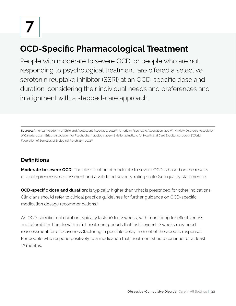# **OCD-Specific Pharmacological Treatment**

People with moderate to severe OCD, or people who are not responding to psychological treatment, are offered a selective serotonin reuptake inhibitor (SSRI) at an OCD-specific dose and duration, considering their individual needs and preferences and in alignment with a stepped-care approach.

**Sources:** American Academy of Child and Adolescent Psychiatry, 2012<sup>26</sup> | American Psychiatric Association, 2007<sup>27</sup> | Anxiety Disorders Association of Canada, 20145 | British Association for Psychopharmacology, 2014?' | National Institute for Health and Care Excellence, 2005.? | World Federation of Societies of Biological Psychiatry, 201235

# **Definitions**

**Moderate to severe OCD:** The classification of moderate to severe OCD is based on the results of a comprehensive assessment and a validated severity-rating scale (see quality statement 1).

**OCD-specific dose and duration:** Is typically higher than what is prescribed for other indications. Clinicians should refer to clinical practice guidelines for further guidance on OCD-specific medication dosage recommendations.5

An OCD-specific trial duration typically lasts 10 to 12 weeks, with monitoring for effectiveness and tolerability. People with initial treatment periods that last beyond 12 weeks may need reassessment for effectiveness (factoring in possible delay in onset of therapeutic response). For people who respond positively to a medication trial, treatment should continue for at least 12 months.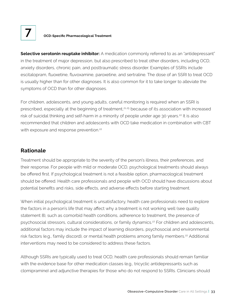#### **7 OCD-Specific Pharmacological Treatment**

**Selective serotonin reuptake inhibitor:** A medication commonly referred to as an "antidepressant" in the treatment of major depression, but also prescribed to treat other disorders, including OCD, anxiety disorders, chronic pain, and posttraumatic stress disorder. Examples of SSRIs include escitalopram, fluoxetine, fluvoxamine, paroxetine, and sertraline. The dose of an SSRI to treat OCD is usually higher than for other diagnoses. It is also common for it to take longer to alleviate the symptoms of OCD than for other diagnoses.

For children, adolescents, and young adults, careful monitoring is required when an SSRI is prescribed, especially at the beginning of treatment,21,25 because of its association with increased risk of suicidal thinking and self-harm in a minority of people under age 30 years.<sup>22</sup> It is also recommended that children and adolescents with OCD take medication in combination with CBT with exposure and response prevention.<sup>22</sup>

#### **Rationale**

Treatment should be appropriate to the severity of the person's illness, their preferences, and their response. For people with mild or moderate OCD, psychological treatments should always be offered first. If psychological treatment is not a feasible option, pharmacological treatment should be offered. Health care professionals and people with OCD should have discussions about potential benefits and risks, side effects, and adverse effects before starting treatment.

When initial psychological treatment is unsatisfactory, health care professionals need to explore the factors in a person's life that may affect why a treatment is not working well (see quality statement 8), such as comorbid health conditions, adherence to treatment, the presence of psychosocial stressors, cultural considerations, or family dynamics.<sup>27</sup> For children and adolescents, additional factors may include the impact of learning disorders, psychosocial and environmental risk factors (e.g., family discord), or mental health problems among family members.<sup>22</sup> Additional interventions may need to be considered to address these factors.

Although SSRIs are typically used to treat OCD, health care professionals should remain familiar with the evidence base for other medication classes (e.g., tricyclic antidepressants such as clomipramine) and adjunctive therapies for those who do not respond to SSRIs. Clinicians should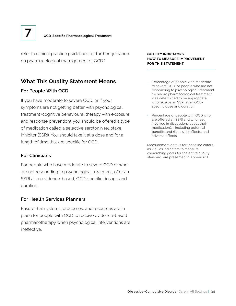refer to clinical practice guidelines for further guidance on pharmacological management of OCD.5

## **What This Quality Statement Means**

#### **For People With OCD**

If you have moderate to severe OCD, or if your symptoms are not getting better with psychological treatment (cognitive behavioural therapy with exposure and response prevention), you should be offered a type of medication called a selective serotonin reuptake inhibitor (SSRI). You should take it at a dose and for a length of time that are specific for OCD.

#### **For Clinicians**

For people who have moderate to severe OCD or who are not responding to psychological treatment, offer an SSRI at an evidence-based, OCD-specific dosage and duration.

#### **For Health Services Planners**

Ensure that systems, processes, and resources are in place for people with OCD to receive evidence-based pharmacotherapy when psychological interventions are ineffective.

#### **QUALITY INDICATORS: HOW TO MEASURE IMPROVEMENT FOR THIS STATEMENT**

- Percentage of people with moderate to severe OCD, or people who are not responding to psychological treatment for whom pharmacological treatment was determined to be appropriate, who receive an SSRI at an OCDspecific dose and duration
- Percentage of people with OCD who are offered an SSRI and who feel involved in discussions about their medication(s), including potential benefits and risks, side effects, and adverse effects

Measurement details for these indicators, as well as indicators to measure overarching goals for the entire quality standard, are presented in Appendix 2.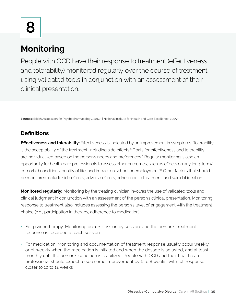# **8**

# **Monitoring**

People with OCD have their response to treatment (effectiveness and tolerability) monitored regularly over the course of treatment using validated tools in conjunction with an assessment of their clinical presentation.

**Sources:** British Association for Psychopharmacology, 2014<sup>27</sup> | National Institute for Health and Care Excellence, 2005<sup>22</sup>

# **Definitions**

**Effectiveness and tolerability:** Effectiveness is indicated by an improvement in symptoms. Tolerability is the acceptability of the treatment, including side effects.<sup>5</sup> Goals for effectiveness and tolerability are individualized based on the person's needs and preferences.5 Regular monitoring is also an opportunity for health care professionals to assess other outcomes, such as effects on any long-term/ comorbid conditions, quality of life, and impact on school or employment.37 Other factors that should be monitored include side effects, adverse effects, adherence to treatment, and suicidal ideation.

**Monitored regularly:** Monitoring by the treating clinician involves the use of validated tools and clinical judgment in conjunction with an assessment of the person's clinical presentation. Monitoring response to treatment also includes assessing the person's level of engagement with the treatment choice (e.g., participation in therapy, adherence to medication).

- For psychotherapy: Monitoring occurs session by session, and the person's treatment response is recorded at each session
- For medication: Monitoring and documentation of treatment response usually occur weekly or bi-weekly when the medication is initiated and when the dosage is adjusted, and at least monthly until the person's condition is stabilized. People with OCD and their health care professional should expect to see some improvement by 6 to 8 weeks, with full response closer to 10 to 12 weeks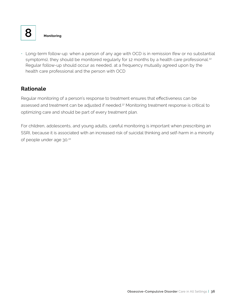

• Long-term follow-up: when a person of any age with OCD is in remission (few or no substantial symptoms), they should be monitored regularly for 12 months by a health care professional.<sup>22</sup> Regular follow-up should occur as needed, at a frequency mutually agreed upon by the health care professional and the person with OCD

## **Rationale**

Regular monitoring of a person's response to treatment ensures that effectiveness can be assessed and treatment can be adjusted if needed.<sup>37</sup> Monitoring treatment response is critical to optimizing care and should be part of every treatment plan.

For children, adolescents, and young adults, careful monitoring is important when prescribing an SSRI, because it is associated with an increased risk of suicidal thinking and self-harm in a minority of people under age 30.<sup>22</sup>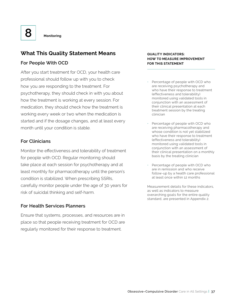

## **What This Quality Statement Means**

#### **For People With OCD**

After you start treatment for OCD, your health care professional should follow up with you to check how you are responding to the treatment. For psychotherapy, they should check in with you about how the treatment is working at every session. For medication, they should check how the treatment is working every week or two when the medication is started and if the dosage changes, and at least every month until your condition is stable.

#### **For Clinicians**

Monitor the effectiveness and tolerability of treatment for people with OCD. Regular monitoring should take place at each session for psychotherapy and at least monthly for pharmacotherapy until the person's condition is stabilized. When prescribing SSRIs, carefully monitor people under the age of 30 years for risk of suicidal thinking and self-harm.

#### **For Health Services Planners**

Ensure that systems, processes, and resources are in place so that people receiving treatment for OCD are regularly monitored for their response to treatment.

#### **QUALITY INDICATORS: HOW TO MEASURE IMPROVEMENT FOR THIS STATEMENT**

- Percentage of people with OCD who are receiving psychotherapy and who have their response to treatment (effectiveness and tolerability) monitored using validated tools in conjunction with an assessment of their clinical presentation at each treatment session by the treating clinician
- Percentage of people with OCD who are receiving pharmacotherapy and whose condition is not yet stabilized who have their response to treatment (effectiveness and tolerability) monitored using validated tools in conjunction with an assessment of their clinical presentation on a monthly basis by the treating clinician
- Percentage of people with OCD who are in remission and who receive follow-up by a health care professional at least once within 12 months

Measurement details for these indicators, as well as indicators to measure overarching goals for the entire quality standard, are presented in Appendix 2.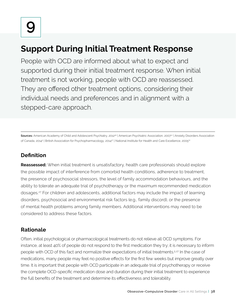# **Support During Initial Treatment Response**

People with OCD are informed about what to expect and supported during their initial treatment response. When initial treatment is not working, people with OCD are reassessed. They are offered other treatment options, considering their individual needs and preferences and in alignment with a stepped-care approach.

Sources: American Academy of Child and Adolescent Psychiatry, 2012<sup>26</sup> | American Psychiatric Association, 2007<sup>27</sup> | Anxiety Disorders Association of Canada, 2014§ | British Association for Psychopharmacology, 2014?' | National Institute for Health and Care Excellence, 2005??

# **Definition**

**Reassessed:** When initial treatment is unsatisfactory, health care professionals should explore the possible impact of interference from comorbid health conditions, adherence to treatment, the presence of psychosocial stressors, the level of family accommodation behaviours, and the ability to tolerate an adequate trial of psychotherapy or the maximum recommended medication dosages.27 For children and adolescents, additional factors may include the impact of learning disorders, psychosocial and environmental risk factors (e.g., family discord), or the presence of mental health problems among family members. Additional interventions may need to be considered to address these factors.

# **Rationale**

Often, initial psychological or pharmacological treatments do not relieve all OCD symptoms. For instance, at least 40% of people do not respond to the first medication they try; it is necessary to inform people with OCD of this fact and normalize their expectations of initial treatments.<sup>5,27</sup> In the case of medications, many people may feel no positive effects for the first few weeks but improve greatly over time. It is important that people with OCD participate in an adequate trial of psychotherapy or receive the complete OCD-specific medication dose and duration during their initial treatment to experience the full benefits of the treatment and determine its effectiveness and tolerability.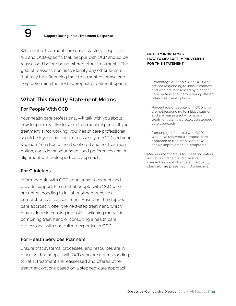

# **9 Support During Initial Treatment Response**

When initial treatments are unsatisfactory despite a full and OCD-specific trial, people with OCD should be reassessed before being offered other treatments. The goal of reassessment is to identify any other factors that may be influencing their treatment response and help determine the next appropriate treatment option.

#### **What This Quality Statement Means**

#### **For People With OCD**

Your health care professional will talk with you about how long it may take to see a treatment response. If your treatment is not working, your health care professional should ask you questions to reassess your OCD and your situation. You should then be offered another treatment option, considering your needs and preferences and in alignment with a stepped-care approach.

#### **For Clinicians**

Inform people with OCD about what to expect, and provide support. Ensure that people with OCD who are not responding to initial treatment receive a comprehensive reassessment. Based on the steppedcare approach, offer the next-step treatment, which may include increasing intensity, switching modalities, combining treatment, or consulting a health care professional with specialized expertise in OCD.

#### **For Health Services Planners**

Ensure that systems, processes, and resources are in place so that people with OCD who are not responding to initial treatment are reassessed and offered other treatment options based on a stepped-care approach.

#### **QUALITY INDICATORS: HOW TO MEASURE IMPROVEMENT FOR THIS STATEMENT**

- Percentage of people with OCD who are not responding to initial treatment and who are reassessed by a health care professional before being offered other treatment options
- Percentage of people with OCD who are not responding to initial treatment and are reassessed who have a treatment plan that follows a steppedcare approach
- Percentage of people with OCD who have followed a stepped-care approach to treatment who have shown improvement in symptoms

Measurement details for these indicators, as well as indicators to measure overarching goals for the entire quality standard, are presented in Appendix 2.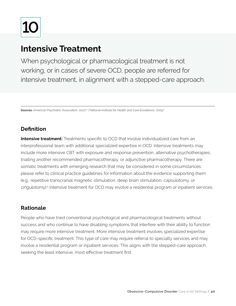# **10**

# **Intensive Treatment**

When psychological or pharmacological treatment is not working, or in cases of severe OCD, people are referred for intensive treatment, in alignment with a stepped-care approach.

**Sources:** American Psychiatric Association, 2007<sup>27</sup> | National Institute for Health and Care Excellence, 2005<sup>22</sup>

# **Definition**

**Intensive treatment:** Treatments specific to OCD that involve individualized care from an interprofessional team with additional specialized expertise in OCD. Intensive treatments may include more intensive CBT with exposure and response prevention, alternative psychotherapies, trialling another recommended pharmacotherapy, or adjunctive pharmacotherapy. There are somatic treatments with emerging research that may be considered in some circumstances; please refer to clinical practice guidelines for information about the evidence supporting them (e.g., repetitive transcranial magnetic stimulation, deep brain stimulation, capsulotomy, or cingulotomy).5 Intensive treatment for OCD may involve a residential program or inpatient services.

## **Rationale**

People who have tried conventional psychological and pharmacological treatments without success and who continue to have disabling symptoms that interfere with their ability to function may require more intensive treatment. More intensive treatment involves specialized expertise for OCD-specific treatment. This type of care may require referral to specialty services and may involve a residential program or inpatient services. This aligns with the stepped-care approach, seeking the least intensive, most effective treatment first.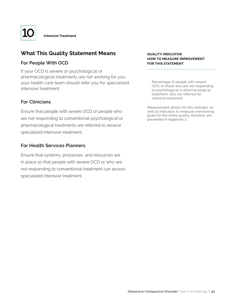

## **What This Quality Statement Means**

#### **For People With OCD**

If your OCD is severe or psychological or pharmacological treatments are not working for you, your health care team should refer you for specialized intensive treatment.

#### **For Clinicians**

Ensure that people with severe OCD or people who are not responding to conventional psychological or pharmacological treatments are referred to receive specialized intensive treatment.

#### **For Health Services Planners**

Ensure that systems, processes, and resources are in place so that people with severe OCD or who are not responding to conventional treatment can access specialized intensive treatment.

#### **QUALITY INDICATOR: HOW TO MEASURE IMPROVEMENT FOR THIS STATEMENT**

• Percentage of people with severe OCD, or those who are not responding to psychological or pharmacological treatment, who are referred for intensive treatment

Measurement details for this indicator, as well as indicators to measure overarching goals for the entire quality standard, are presented in Appendix 2.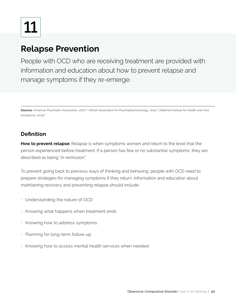**11**

# **Relapse Prevention**

People with OCD who are receiving treatment are provided with information and education about how to prevent relapse and manage symptoms if they re-emerge.

Sources: American Psychiatric Association, 2007<sup>27</sup> | British Association for Psychopharmacology, 2014<sup>27</sup> | National Institute for Health and Care Excellence, 2005<sup>22</sup>

## **Definition**

**How to prevent relapse:** Relapse is when symptoms worsen and return to the level that the person experienced before treatment. If a person has few or no substantial symptoms, they are described as being "in remission."

To prevent going back to previous ways of thinking and behaving, people with OCD need to prepare strategies for managing symptoms if they return. Information and education about maintaining recovery and preventing relapse should include:

- Understanding the nature of OCD
- Knowing what happens when treatment ends
- Knowing how to address symptoms
- Planning for long-term follow-up
- Knowing how to access mental health services when needed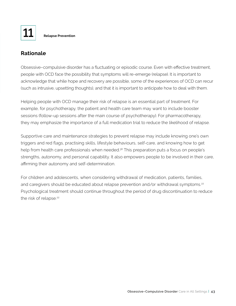

## **Rationale**

Obsessive–compulsive disorder has a fluctuating or episodic course. Even with effective treatment, people with OCD face the possibility that symptoms will re-emerge (relapse). It is important to acknowledge that while hope and recovery are possible, some of the experiences of OCD can recur (such as intrusive, upsetting thoughts), and that it is important to anticipate how to deal with them.

Helping people with OCD manage their risk of relapse is an essential part of treatment. For example, for psychotherapy, the patient and health care team may want to include booster sessions (follow-up sessions after the main course of psychotherapy). For pharmacotherapy, they may emphasize the importance of a full medication trial to reduce the likelihood of relapse.

Supportive care and maintenance strategies to prevent relapse may include knowing one's own triggers and red flags, practising skills, lifestyle behaviours, self-care, and knowing how to get help from health care professionals when needed.<sup>38</sup> This preparation puts a focus on people's strengths, autonomy, and personal capability. It also empowers people to be involved in their care, affirming their autonomy and self-determination.

For children and adolescents, when considering withdrawal of medication, patients, families, and caregivers should be educated about relapse prevention and/or withdrawal symptoms.<sup>22</sup> Psychological treatment should continue throughout the period of drug discontinuation to reduce the risk of relapse.<sup>22</sup>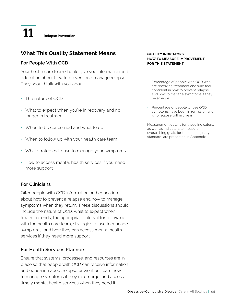# **What This Quality Statement Means**

#### **For People With OCD**

Your health care team should give you information and education about how to prevent and manage relapse. They should talk with you about:

- The nature of OCD
- What to expect when you're in recovery and no longer in treatment
- When to be concerned and what to do
- When to follow up with your health care team
- What strategies to use to manage your symptoms
- How to access mental health services if you need more support

#### **For Clinicians**

Offer people with OCD information and education about how to prevent a relapse and how to manage symptoms when they return. These discussions should include the nature of OCD, what to expect when treatment ends, the appropriate interval for follow-up with the health care team, strategies to use to manage symptoms, and how they can access mental health services if they need more support.

#### **For Health Services Planners**

Ensure that systems, processes, and resources are in place so that people with OCD can receive information and education about relapse prevention, learn how to manage symptoms if they re-emerge, and access timely mental health services when they need it.

#### **QUALITY INDICATORS: HOW TO MEASURE IMPROVEMENT FOR THIS STATEMENT**

- Percentage of people with OCD who are receiving treatment and who feel confident in how to prevent relapse and how to manage symptoms if they re-emerge
- Percentage of people whose OCD symptoms have been in remission and who relapse within 1 year

Measurement details for these indicators, as well as indicators to measure overarching goals for the entire quality standard, are presented in Appendix 2.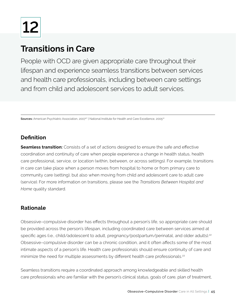**12**

# **Transitions in Care**

People with OCD are given appropriate care throughout their lifespan and experience seamless transitions between services and health care professionals, including between care settings and from child and adolescent services to adult services.

**Sources:** American Psychiatric Association, 2007<sup>27</sup> | National Institute for Health and Care Excellence, 2005<sup>22</sup>

# **Definition**

**Seamless transition:** Consists of a set of actions designed to ensure the safe and effective coordination and continuity of care when people experience a change in health status, health care professional, service, or location (within, between, or across settings). For example, transitions in care can take place when a person moves from hospital to home or from primary care to community care (setting), but also when moving from child and adolescent care to adult care (service). For more information on transitions, please see the *Transitions Between Hospital and Home* quality standard.

## **Rationale**

Obsessive–compulsive disorder has effects throughout a person's life, so appropriate care should be provided across the person's lifespan, including coordinated care between services aimed at specific ages (i.e., child/adolescent to adult, pregnancy/postpartum/perinatal, and older adults).<sup>22</sup> Obsessive–compulsive disorder can be a chronic condition, and it often affects some of the most intimate aspects of a person's life. Health care professionals should ensure continuity of care and minimize the need for multiple assessments by different health care professionals.<sup>22</sup>

Seamless transitions require a coordinated approach among knowledgeable and skilled health care professionals who are familiar with the person's clinical status, goals of care, plan of treatment,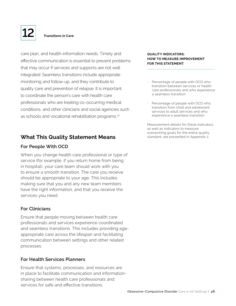

care plan, and health-information needs. Timely and effective communication is essential to prevent problems that may occur if services and supports are not well integrated. Seamless transitions include appropriate monitoring and follow-up, and they contribute to quality care and prevention of relapse. It is important to coordinate the person's care with health care professionals who are treating co-occurring medical conditions, and other clinicians and social agencies such as schools and vocational rehabilitation programs.<sup>27</sup>

### **What This Quality Statement Means**

#### **For People With OCD**

When you change health care professional or type of service (for example, if you return home from being in hospital), your care team should work with you to ensure a smooth transition. The care you receive should be appropriate to your age. This includes making sure that you and any new team members have the right information, and that you receive the services you need.

#### **For Clinicians**

Ensure that people moving between health care professionals and services experience coordinated and seamless transitions. This includes providing ageappropriate care across the lifespan and facilitating communication between settings and other related processes.

#### **For Health Services Planners**

Ensure that systems, processes, and resources are in place to facilitate communication and informationsharing between health care professionals and services for safe and effective transitions.

#### **QUALITY INDICATORS: HOW TO MEASURE IMPROVEMENT FOR THIS STATEMENT**

- Percentage of people with OCD who transition between services or health care professionals and who experience a seamless transition
- Percentage of people with OCD who transition from child and adolescent services to adult services and who experience a seamless transition

Measurement details for these indicators, as well as indicators to measure overarching goals for the entire quality standard, are presented in Appendix 2.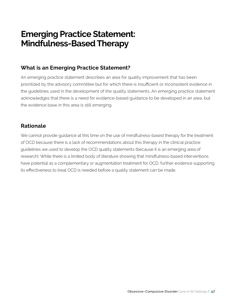# **Emerging Practice Statement: Mindfulness-Based Therapy**

## **What is an Emerging Practice Statement?**

An emerging practice statement describes an area for quality improvement that has been prioritized by the advisory committee but for which there is insufficient or inconsistent evidence in the guidelines used in the development of the quality statements. An emerging practice statement acknowledges that there is a need for evidence-based guidance to be developed in an area, but the evidence base in this area is still emerging.

## **Rationale**

We cannot provide guidance at this time on the use of mindfulness-based therapy for the treatment of OCD because there is a lack of recommendations about this therapy in the clinical practice guidelines we used to develop the OCD quality statements (because it is an emerging area of research). While there is a limited body of literature showing that mindfulness-based interventions have potential as a complementary or augmentation treatment for OCD, further evidence supporting its effectiveness to treat OCD is needed before a quality statement can be made.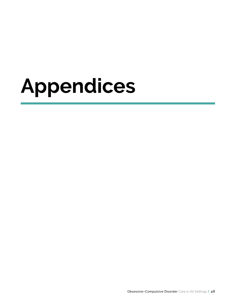# **Appendices**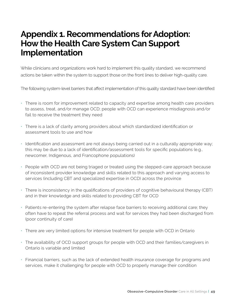# **Appendix 1. Recommendations for Adoption: How the Health Care System Can Support Implementation**

While clinicians and organizations work hard to implement this quality standard, we recommend actions be taken within the system to support those on the front lines to deliver high-quality care.

The following system-level barriers that affect implementation of this quality standard have been identified:

- There is room for improvement related to capacity and expertise among health care providers to assess, treat, and/or manage OCD; people with OCD can experience misdiagnosis and/or fail to receive the treatment they need
- There is a lack of clarity among providers about which standardized identification or assessment tools to use and how
- Identification and assessment are not always being carried out in a culturally appropriate way; this may be due to a lack of identification/assessment tools for specific populations (e.g., newcomer, Indigenous, and Francophone populations)
- People with OCD are not being triaged or treated using the stepped-care approach because of inconsistent provider knowledge and skills related to this approach and varying access to services (including CBT and specialized expertise in OCD) across the province
- There is inconsistency in the qualifications of providers of cognitive behavioural therapy (CBT) and in their knowledge and skills related to providing CBT for OCD
- Patients re-entering the system after relapse face barriers to receiving additional care; they often have to repeat the referral process and wait for services they had been discharged from (poor continuity of care)
- There are very limited options for intensive treatment for people with OCD in Ontario
- The availability of OCD support groups for people with OCD and their families/caregivers in Ontario is variable and limited
- Financial barriers, such as the lack of extended health insurance coverage for programs and services, make it challenging for people with OCD to properly manage their condition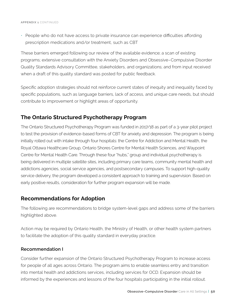• People who do not have access to private insurance can experience difficulties affording prescription medications and/or treatment, such as CBT

These barriers emerged following our review of the available evidence; a scan of existing programs; extensive consultation with the Anxiety Disorders and Obsessive–Compulsive Disorder Quality Standards Advisory Committee, stakeholders, and organizations; and from input received when a draft of this quality standard was posted for public feedback.

Specific adoption strategies should not reinforce current states of inequity and inequality faced by specific populations, such as language barriers, lack of access, and unique care needs, but should contribute to improvement or highlight areas of opportunity.

## **The Ontario Structured Psychotherapy Program**

The Ontario Structured Psychotherapy Program was funded in 2017/18 as part of a 3-year pilot project to test the provision of evidence-based forms of CBT for anxiety and depression. The program is being initially rolled out with intake through four hospitals: the Centre for Addiction and Mental Health, the Royal Ottawa Healthcare Group, Ontario Shores Centre for Mental Health Sciences, and Waypoint Centre for Mental Health Care. Through these four "hubs," group and individual psychotherapy is being delivered in multiple satellite sites, including primary care teams, community mental health and addictions agencies, social service agencies, and postsecondary campuses. To support high-quality service delivery, the program developed a consistent approach to training and supervision. Based on early positive results, consideration for further program expansion will be made.

## **Recommendations for Adoption**

The following are recommendations to bridge system-level gaps and address some of the barriers highlighted above.

Action may be required by Ontario Health, the Ministry of Health, or other health system partners to facilitate the adoption of this quality standard in everyday practice.

#### **Recommendation I**

Consider further expansion of the Ontario Structured Psychotherapy Program to increase access for people of all ages across Ontario. The program aims to enable seamless entry and transition into mental health and addictions services, including services for OCD. Expansion should be informed by the experiences and lessons of the four hospitals participating in the initial rollout.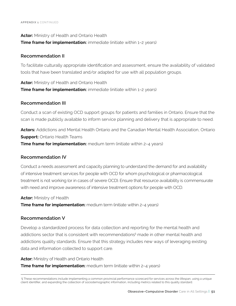#### **Actor:** Ministry of Health and Ontario Health **Time frame for implementation:** immediate (initiate within 1-2 years)

#### **Recommendation II**

To facilitate culturally appropriate identification and assessment, ensure the availability of validated tools that have been translated and/or adapted for use with all population groups.

**Actor:** Ministry of Health and Ontario Health **Time frame for implementation:** immediate (initiate within 1-2 years)

#### **Recommendation III**

Conduct a scan of existing OCD support groups for patients and families in Ontario. Ensure that the scan is made publicly available to inform service planning and delivery that is appropriate to need.

**Actors:** Addictions and Mental Health Ontario and the Canadian Mental Health Association, Ontario **Support:** Ontario Health Teams **Time frame for implementation:** medium term (initiate within 2-4 years)

#### **Recommendation IV**

Conduct a needs assessment and capacity planning to understand the demand for and availability of intensive treatment services for people with OCD for whom psychological or pharmacological treatment is not working (or in cases of severe OCD). Ensure that resource availability is commensurate with need and improve awareness of intensive treatment options for people with OCD.

**Actor:** Ministry of Health

**Time frame for implementation:** medium term (initiate within 2-4 years)

#### **Recommendation V**

Develop a standardized process for data collection and reporting for the mental health and addictions sector that is consistent with recommendations§ made in other mental health and addictions quality standards. Ensure that this strategy includes new ways of leveraging existing data and information collected to support care.

**Actor:** Ministry of Health and Ontario Health

**Time frame for implementation:** medium term (initiate within 2-4 years)

 § These recommendations include implementing a common provincial performance scorecard for services across the lifespan, using a unique client identifier, and expanding the collection of sociodemographic information, including metrics related to this quality standard.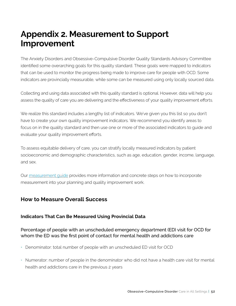# **Appendix 2. Measurement to Support Improvement**

The Anxiety Disorders and Obsessive-Compulsive Disorder Quality Standards Advisory Committee identified some overarching goals for this quality standard. These goals were mapped to indicators that can be used to monitor the progress being made to improve care for people with OCD. Some indicators are provincially measurable, while some can be measured using only locally sourced data.

Collecting and using data associated with this quality standard is optional. However, data will help you assess the quality of care you are delivering and the effectiveness of your quality improvement efforts.

We realize this standard includes a lengthy list of indicators. We've given you this list so you don't have to create your own quality improvement indicators. We recommend you identify areas to focus on in the quality standard and then use one or more of the associated indicators to guide and evaluate your quality improvement efforts.

To assess equitable delivery of care, you can stratify locally measured indicators by patient socioeconomic and demographic characteristics, such as age, education, gender, income, language, and sex.

Our [measurement guide](https://www.hqontario.ca/evidence-to-improve-care/quality-standards/view-all-quality-standards/obsessive-compulsive-disorder) provides more information and concrete steps on how to incorporate measurement into your planning and quality improvement work.

## **How to Measure Overall Success**

#### **Indicators That Can Be Measured Using Provincial Data**

#### Percentage of people with an unscheduled emergency department (ED) visit for OCD for whom the ED was the first point of contact for mental health and addictions care

- Denominator: total number of people with an unscheduled ED visit for OCD
- Numerator: number of people in the denominator who did not have a health care visit for mental health and addictions care in the previous 2 years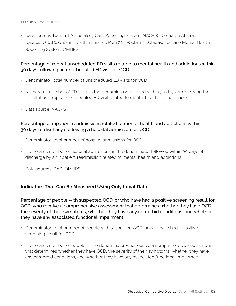• Data sources: National Ambulatory Care Reporting System (NACRS), Discharge Abstract Database (DAD), Ontario Health Insurance Plan (OHIP) Claims Database, Ontario Mental Health Reporting System (OMHRS)

#### Percentage of repeat unscheduled ED visits related to mental health and addictions within 30 days following an unscheduled ED visit for OCD

- Denominator: total number of unscheduled ED visits for OCD
- Numerator: number of ED visits in the denominator followed within 30 days after leaving the hospital by a repeat unscheduled ED visit related to mental health and addictions
- Data source: NACRS

#### Percentage of inpatient readmissions related to mental health and addictions within 30 days of discharge following a hospital admission for OCD

- Denominator: total number of hospital admissions for OCD
- Numerator: number of hospital admissions in the denominator followed within 30 days of discharge by an inpatient readmission related to mental health and addictions
- Data sources: DAD, OMHRS

#### **Indicators That Can Be Measured Using Only Local Data**

Percentage of people with suspected OCD, or who have had a positive screening result for OCD, who receive a comprehensive assessment that determines whether they have OCD, the severity of their symptoms, whether they have any comorbid conditions, and whether they have any associated functional impairment

- Denominator: total number of people with suspected OCD, or who have had a positive screening result for OCD
- Numerator: number of people in the denominator who receive a comprehensive assessment that determines whether they have OCD, the severity of their symptoms, whether they have any comorbid conditions, and whether they have any associated functional impairment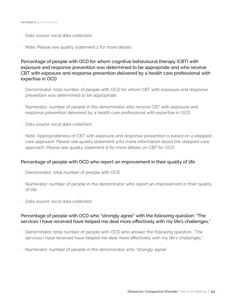- Data source: local data collection
- Note: Please see quality statement 2 for more details

Percentage of people with OCD for whom cognitive behavioural therapy (CBT) with exposure and response prevention was determined to be appropriate and who receive CBT with exposure and response prevention delivered by a health care professional with expertise in OCD

- Denominator: total number of people with OCD for whom CBT with exposure and response prevention was determined to be appropriate
- Numerator: number of people in the denominator who receive CBT with exposure and response prevention delivered by a health care professional with expertise in OCD
- Data source: local data collection
- Note: Appropriateness of CBT with exposure and response prevention is based on a steppedcare approach. Please see quality statement 4 for more information about the stepped-care approach. Please see quality statement 6 for more details on CBT for OCD

#### Percentage of people with OCD who report an improvement in their quality of life

- Denominator: total number of people with OCD
- Numerator: number of people in the denominator who report an improvement in their quality of life
- Data source: local data collection

#### Percentage of people with OCD who "strongly agree" with the following question: "The services I have received have helped me deal more effectively with my life's challenges."

- Denominator: total number of people with OCD who answer the following question, "The services I have received have helped me deal more effectively with my life's challenges."
- Numerator: number of people in the denominator who "strongly agree"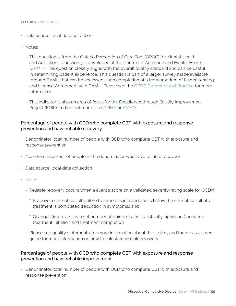- Data source: local data collection
- Notes:
	- This question is from the Ontario Perception of Care Tool (OPOC) for Mental Health and Addictions (question 30) developed at the Centre for Addiction and Mental Health (CAMH). This question closely aligns with the overall quality standard and can be useful in determining patient experience. This question is part of a larger survey made available through CAMH that can be accessed upon completion of a Memorandum of Understanding and License Agreement with CAMH. Please see the [OPOC Community of Practice](https://www.eenetconnect.ca/g/provincial-opoc-cop/) for more information.
	- This indicator is also an area of focus for the Excellence through Quality Improvement Project (EQIP). To find out more, visit [CMH](http://ontario.cmha.ca/provincial-programs/e-qip-excellence-through-quality-improvement-project/)A or [AMHO](https://amho.ca/our-work/e-qip/)

#### Percentage of people with OCD who complete CBT with exposure and response prevention and have reliable recovery

- Denominator: total number of people with OCD who complete CBT with exposure and response prevention
- Numerator: number of people in the denominator who have reliable recovery
- Data source: local data collection
- Notes:
	- Reliable recovery occurs when a client's score on a validated severity-rating scale for OCD<sup>39</sup>:
		- ° Is above a clinical cut-off before treatment is initiated and is below the clinical cut-off after treatment is completed (reduction in symptoms); and
		- ° Changes (improves) by a set number of points (that is statistically significant) between treatment initiation and treatment completion
	- Please see quality statement 1 for more information about the scales, and the measurement guide for more information on how to calculate reliable recovery

#### Percentage of people with OCD who complete CBT with exposure and response prevention and have reliable improvement

• Denominator: total number of people with OCD who complete CBT with exposure and response prevention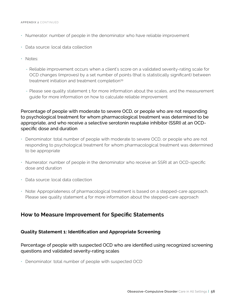#### **APPENDIX 2** CONTINUED

- Numerator: number of people in the denominator who have reliable improvement
- Data source: local data collection
- Notes:
	- Reliable improvement occurs when a client's score on a validated severity-rating scale for OCD changes (improves) by a set number of points (that is statistically significant) between treatment initiation and treatment completion39
	- Please see quality statement 1 for more information about the scales, and the measurement guide for more information on how to calculate reliable improvement

Percentage of people with moderate to severe OCD, or people who are not responding to psychological treatment for whom pharmacological treatment was determined to be appropriate, and who receive a selective serotonin reuptake inhibitor (SSRI) at an OCDspecific dose and duration

- Denominator: total number of people with moderate to severe OCD, or people who are not responding to psychological treatment for whom pharmacological treatment was determined to be appropriate
- Numerator: number of people in the denominator who receive an SSRI at an OCD-specific dose and duration
- Data source: local data collection
- Note: Appropriateness of pharmacological treatment is based on a stepped-care approach. Please see quality statement 4 for more information about the stepped-care approach

#### **How to Measure Improvement for Specific Statements**

#### **Quality Statement 1: Identification and Appropriate Screening**

Percentage of people with suspected OCD who are identified using recognized screening questions and validated severity-rating scales

• Denominator: total number of people with suspected OCD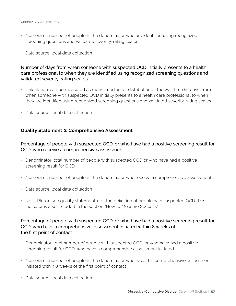- Numerator: number of people in the denominator who are identified using recognized screening questions and validated severity-rating scales
- Data source: local data collection

#### Number of days from when someone with suspected OCD initially presents to a health care professional to when they are identified using recognized screening questions and validated severity-rating scales

- Calculation: can be measured as mean, median, or distribution of the wait time (in days) from when someone with suspected OCD initially presents to a health care professional to when they are identified using recognized screening questions and validated severity-rating scales
- Data source: local data collection

#### **Quality Statement 2: Comprehensive Assessment**

#### Percentage of people with suspected OCD, or who have had a positive screening result for OCD, who receive a comprehensive assessment

- Denominator: total number of people with suspected OCD or who have had a positive screening result for OCD
- Numerator: number of people in the denominator who receive a comprehensive assessment
- Data source: local data collection
- Note: Please see quality statement 1 for the definition of people with suspected OCD. This indicator is also included in the section "How to Measure Success"

#### Percentage of people with suspected OCD, or who have had a positive screening result for OCD, who have a comprehensive assessment initiated within 8 weeks of the first point of contact

- Denominator: total number of people with suspected OCD, or who have had a positive screening result for OCD, who have a comprehensive assessment initiated
- Numerator: number of people in the denominator who have this comprehensive assessment initiated within 8 weeks of the first point of contact
- Data source: local data collection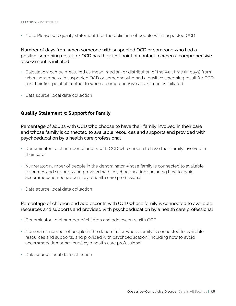• Note: Please see quality statement 1 for the definition of people with suspected OCD

Number of days from when someone with suspected OCD or someone who had a positive screening result for OCD has their first point of contact to when a comprehensive assessment is initiated

- Calculation: can be measured as mean, median, or distribution of the wait time (in days) from when someone with suspected OCD or someone who had a positive screening result for OCD has their first point of contact to when a comprehensive assessment is initiated
- Data source: local data collection

#### **Quality Statement 3: Support for Family**

Percentage of adults with OCD who choose to have their family involved in their care and whose family is connected to available resources and supports and provided with psychoeducation by a health care professional

- Denominator: total number of adults with OCD who choose to have their family involved in their care
- Numerator: number of people in the denominator whose family is connected to available resources and supports and provided with psychoeducation (including how to avoid accommodation behaviours) by a health care professional
- Data source: local data collection

#### Percentage of children and adolescents with OCD whose family is connected to available resources and supports and provided with psychoeducation by a health care professional

- Denominator: total number of children and adolescents with OCD
- Numerator: number of people in the denominator whose family is connected to available resources and supports, and provided with psychoeducation (including how to avoid accommodation behaviours) by a health care professional
- Data source: local data collection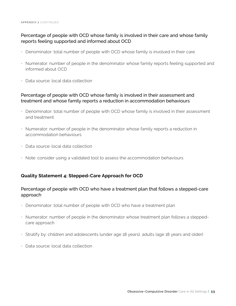#### Percentage of people with OCD whose family is involved in their care and whose family reports feeling supported and informed about OCD

- Denominator: total number of people with OCD whose family is involved in their care
- Numerator: number of people in the denominator whose family reports feeling supported and informed about OCD
- Data source: local data collection

#### Percentage of people with OCD whose family is involved in their assessment and treatment and whose family reports a reduction in accommodation behaviours

- Denominator: total number of people with OCD whose family is involved in their assessment and treatment
- Numerator: number of people in the denominator whose family reports a reduction in accommodation behaviours
- Data source: local data collection
- Note: consider using a validated tool to assess the accommodation behaviours

#### **Quality Statement 4: Stepped-Care Approach for OCD**

#### Percentage of people with OCD who have a treatment plan that follows a stepped-care approach

- Denominator: total number of people with OCD who have a treatment plan
- Numerator: number of people in the denominator whose treatment plan follows a steppedcare approach
- Stratify by: children and adolescents (under age 18 years), adults (age 18 years and older)
- Data source: local data collection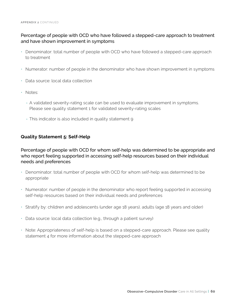#### Percentage of people with OCD who have followed a stepped-care approach to treatment and have shown improvement in symptoms

- Denominator: total number of people with OCD who have followed a stepped-care approach to treatment
- Numerator: number of people in the denominator who have shown improvement in symptoms
- Data source: local data collection
- Notes:
	- A validated severity-rating scale can be used to evaluate improvement in symptoms. Please see quality statement 1 for validated severity-rating scales
	- This indicator is also included in quality statement 9

#### **Quality Statement 5: Self-Help**

Percentage of people with OCD for whom self-help was determined to be appropriate and who report feeling supported in accessing self-help resources based on their individual needs and preferences

- Denominator: total number of people with OCD for whom self-help was determined to be appropriate
- Numerator: number of people in the denominator who report feeling supported in accessing self-help resources based on their individual needs and preferences
- Stratify by: children and adolescents (under age 18 years), adults (age 18 years and older)
- Data source: local data collection (e.g., through a patient survey)
- Note: Appropriateness of self-help is based on a stepped-care approach. Please see quality statement 4 for more information about the stepped-care approach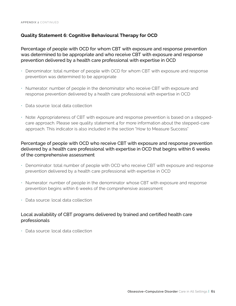#### **Quality Statement 6: Cognitive Behavioural Therapy for OCD**

Percentage of people with OCD for whom CBT with exposure and response prevention was determined to be appropriate and who receive CBT with exposure and response prevention delivered by a health care professional with expertise in OCD

- Denominator: total number of people with OCD for whom CBT with exposure and response prevention was determined to be appropriate
- Numerator: number of people in the denominator who receive CBT with exposure and response prevention delivered by a health care professional with expertise in OCD
- Data source: local data collection
- Note: Appropriateness of CBT with exposure and response prevention is based on a steppedcare approach. Please see quality statement 4 for more information about the stepped-care approach. This indicator is also included in the section "How to Measure Success"

#### Percentage of people with OCD who receive CBT with exposure and response prevention delivered by a health care professional with expertise in OCD that begins within 6 weeks of the comprehensive assessment

- Denominator: total number of people with OCD who receive CBT with exposure and response prevention delivered by a health care professional with expertise in OCD
- Numerator: number of people in the denominator whose CBT with exposure and response prevention begins within 6 weeks of the comprehensive assessment
- Data source: local data collection

#### Local availability of CBT programs delivered by trained and certified health care professionals

• Data source: local data collection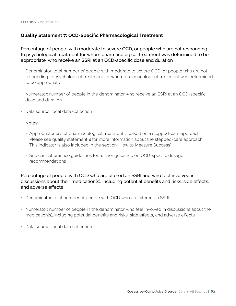#### **Quality Statement 7: OCD-Specific Pharmacological Treatment**

Percentage of people with moderate to severe OCD, or people who are not responding to psychological treatment for whom pharmacological treatment was determined to be appropriate, who receive an SSRI at an OCD-specific dose and duration

- Denominator: total number of people with moderate to severe OCD, or people who are not responding to psychological treatment for whom pharmacological treatment was determined to be appropriate
- Numerator: number of people in the denominator who receive an SSRI at an OCD-specific dose and duration
- Data source: local data collection
- Notes:
	- Appropriateness of pharmacological treatment is based on a stepped-care approach. Please see quality statement 4 for more information about the stepped-care approach. This indicator is also included in the section "How to Measure Success"
	- See clinical practice guidelines for further guidance on OCD-specific dosage recommendations

Percentage of people with OCD who are offered an SSRI and who feel involved in discussions about their medication(s), including potential benefits and risks, side effects, and adverse effects

- Denominator: total number of people with OCD who are offered an SSRI
- Numerator: number of people in the denominator who feel involved in discussions about their medication(s), including potential benefits and risks, side effects, and adverse effects
- Data source: local data collection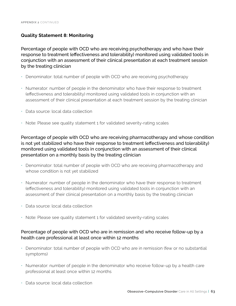#### **Quality Statement 8: Monitoring**

Percentage of people with OCD who are receiving psychotherapy and who have their response to treatment (effectiveness and tolerability) monitored using validated tools in conjunction with an assessment of their clinical presentation at each treatment session by the treating clinician

- Denominator: total number of people with OCD who are receiving psychotherapy
- Numerator: number of people in the denominator who have their response to treatment (effectiveness and tolerability) monitored using validated tools in conjunction with an assessment of their clinical presentation at each treatment session by the treating clinician
- Data source: local data collection
- Note: Please see quality statement 1 for validated severity-rating scales

Percentage of people with OCD who are receiving pharmacotherapy and whose condition is not yet stabilized who have their response to treatment (effectiveness and tolerability) monitored using validated tools in conjunction with an assessment of their clinical presentation on a monthly basis by the treating clinician

- Denominator: total number of people with OCD who are receiving pharmacotherapy and whose condition is not yet stabilized
- Numerator: number of people in the denominator who have their response to treatment (effectiveness and tolerability) monitored using validated tools in conjunction with an assessment of their clinical presentation on a monthly basis by the treating clinician
- Data source: local data collection
- Note: Please see quality statement 1 for validated severity-rating scales

#### Percentage of people with OCD who are in remission and who receive follow-up by a health care professional at least once within 12 months

- Denominator: total number of people with OCD who are in remission (few or no substantial symptoms)
- Numerator: number of people in the denominator who receive follow-up by a health care professional at least once within 12 months
- Data source: local data collection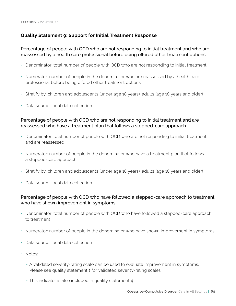#### **Quality Statement 9: Support for Initial Treatment Response**

#### Percentage of people with OCD who are not responding to initial treatment and who are reassessed by a health care professional before being offered other treatment options

- Denominator: total number of people with OCD who are not responding to initial treatment
- Numerator: number of people in the denominator who are reassessed by a health care professional before being offered other treatment options
- Stratify by: children and adolescents (under age 18 years), adults (age 18 years and older)
- Data source: local data collection

#### Percentage of people with OCD who are not responding to initial treatment and are reassessed who have a treatment plan that follows a stepped-care approach

- Denominator: total number of people with OCD who are not responding to initial treatment and are reassessed
- Numerator: number of people in the denominator who have a treatment plan that follows a stepped-care approach
- Stratify by: children and adolescents (under age 18 years), adults (age 18 years and older)
- Data source: local data collection

#### Percentage of people with OCD who have followed a stepped-care approach to treatment who have shown improvement in symptoms

- Denominator: total number of people with OCD who have followed a stepped-care approach to treatment
- Numerator: number of people in the denominator who have shown improvement in symptoms
- Data source: local data collection
- Notes:
	- A validated severity-rating scale can be used to evaluate improvement in symptoms. Please see quality statement 1 for validated severity-rating scales
	- This indicator is also included in quality statement 4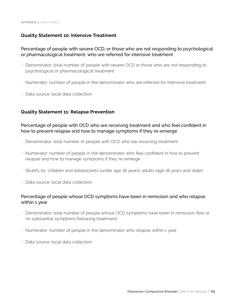#### **Quality Statement 10: Intensive Treatment**

#### Percentage of people with severe OCD, or those who are not responding to psychological or pharmacological treatment, who are referred for intensive treatment

- Denominator: total number of people with severe OCD or those who are not responding to psychological or pharmacological treatment
- Numerator: number of people in the denominator who are referred for intensive treatment
- Data source: local data collection

#### **Quality Statement 11: Relapse Prevention**

#### Percentage of people with OCD who are receiving treatment and who feel confident in how to prevent relapse and how to manage symptoms if they re-emerge

- Denominator: total number of people with OCD who are receiving treatment
- Numerator: number of people in the denominator who feel confident in how to prevent relapse and how to manage symptoms if they re-emerge
- Stratify by: children and adolescents (under age 18 years), adults (age 18 years and older)
- Data source: local data collection

#### Percentage of people whose OCD symptoms have been in remission and who relapse within 1 year

- Denominator: total number of people whose OCD symptoms have been in remission (few or no substantial symptoms following treatment)
- Numerator: number of people in the denominator who relapse within 1 year
- Data source: local data collection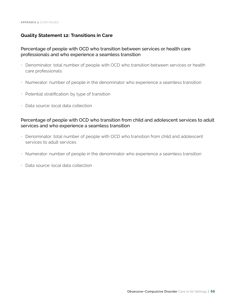#### **Quality Statement 12: Transitions in Care**

#### Percentage of people with OCD who transition between services or health care professionals and who experience a seamless transition

- Denominator: total number of people with OCD who transition between services or health care professionals
- Numerator: number of people in the denominator who experience a seamless transition
- Potential stratification: by type of transition
- Data source: local data collection

#### Percentage of people with OCD who transition from child and adolescent services to adult services and who experience a seamless transition

- Denominator: total number of people with OCD who transition from child and adolescent services to adult services
- Numerator: number of people in the denominator who experience a seamless transition
- Data source: local data collection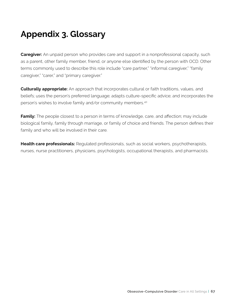# **Appendix 3. Glossary**

**Caregiver:** An unpaid person who provides care and support in a nonprofessional capacity, such as a parent, other family member, friend, or anyone else identified by the person with OCD. Other terms commonly used to describe this role include "care partner," "informal caregiver," "family caregiver," "carer," and "primary caregiver."

**Culturally appropriate:** An approach that incorporates cultural or faith traditions, values, and beliefs; uses the person's preferred language; adapts culture-specific advice; and incorporates the person's wishes to involve family and/or community members.40

**Family:** The people closest to a person in terms of knowledge, care, and affection; may include biological family, family through marriage, or family of choice and friends. The person defines their family and who will be involved in their care.

**Health care professionals:** Regulated professionals, such as social workers, psychotherapists, nurses, nurse practitioners, physicians, psychologists, occupational therapists, and pharmacists.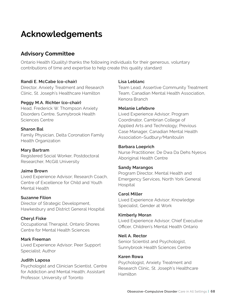# **Acknowledgements**

# **Advisory Committee**

Ontario Health (Quality) thanks the following individuals for their generous, voluntary contributions of time and expertise to help create this quality standard:

#### **Randi E. McCabe (co-chair)**

Director, Anxiety Treatment and Research Clinic, St. Joseph's Healthcare Hamilton

#### **Peggy M.A. Richter (co-chair)**

Head, Frederick W. Thompson Anxiety Disorders Centre, Sunnybrook Health Sciences Centre

#### **Sharon Bal**

Family Physician, Delta Coronation Family Health Organization

#### **Mary Bartram**

Registered Social Worker, Postdoctoral Researcher, McGill University

#### **Jaime Brown**

Lived Experience Advisor; Research Coach, Centre of Excellence for Child and Youth Mental Health

#### **Suzanne Filion**

Director of Strategic Development, Hawkesbury and District General Hospital

#### **Cheryl Fiske**

Occupational Therapist, Ontario Shores Centre for Mental Health Sciences

#### **Mark Freeman**

Lived Experience Advisor; Peer Support Specialist; Author

#### **Judith Laposa**

Psychologist and Clinician Scientist, Centre for Addiction and Mental Health; Assistant Professor, University of Toronto

#### **Lisa Leblanc**

Team Lead, Assertive Community Treatment Team, Canadian Mental Health Association, Kenora Branch

#### **Melanie Lefebvre**

Lived Experience Advisor; Program Coordinator, Cambrian College of Applied Arts and Technology; Previous Case Manager, Canadian Mental Health Association–Sudbury/Manitoulin

#### **Barbara Loeprich**

Nurse Practitioner, De Dwa Da Dehs Nyes>s Aboriginal Health Centre

#### **Sandy Marangos**

Program Director, Mental Health and Emergency Services, North York General Hospital

#### **Carol Miller**

Lived Experience Advisor; Knowledge Specialist, Gender at Work

#### **Kimberly Moran**

Lived Experience Advisor; Chief Executive Officer, Children's Mental Health Ontario

#### **Neil A. Rector**

Senior Scientist and Psychologist, Sunnybrook Health Sciences Centre

#### **Karen Rowa**

Psychologist, Anxiety Treatment and Research Clinic, St. Joseph's Healthcare Hamilton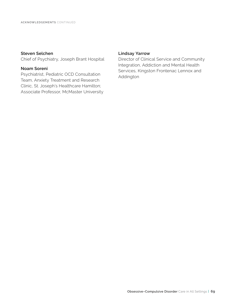#### **Steven Selchen**

Chief of Psychiatry, Joseph Brant Hospital

#### **Noam Soreni**

Psychiatrist, Pediatric OCD Consultation Team, Anxiety Treatment and Research Clinic, St. Joseph's Healthcare Hamilton; Associate Professor, McMaster University

#### **Lindsay Yarrow**

Director of Clinical Service and Community Integration, Addiction and Mental Health Services, Kingston Frontenac Lennox and Addington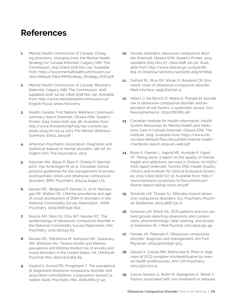# **References**

- **1.** Mental Health Commission of Canada. Changing directions, changing lives: the Mental Health Strategy for Canada [Internet]. Calgary (AB): The Commission; 2012 [cited 2018 Nov 29]. Available from: https://www.mentalhealthcommission.ca/ sites/default/files/MHStrategy\_Strategy\_ENG.pdf
- **2.** Mental Health Commission of Canada. Recovery [Internet]. Calgary (AB): The Commission; 2016 [updated 2018 Jul 09; cited 2018 Nov 29]. Available from: http://www.mentalhealthcommission.ca/ English/focus-areas/recovery
- **3.** Health Canada. First Nations Wellness Continuum: summary report [Internet]. Ottawa (ON): Queen's Printer; 2015 [cited 2018 July 18]. Available from: http://www.thunderbirdpf.org/wp-content/uploads/2015/01/24-14-1273-FN-Mental-Wellness-Summary-EN03\_low.pdf
- **4.** American Psychiatric Association. Diagnostic and statistical manual of mental disorders. 5th ed. Arlington (VA): The Association; 2013.
- **5.** Katzman MA, Bleau P, Blier P, Chokka P, Kjernisted K, Van Ameringen M, et al. Canadian clinical practice guidelines for the management of anxiety, posttraumatic stress and obsessive-compulsive disorders. BMC Psychiatry. 2014;14 Suppl 1:S1.
- **6.** Kessler RC, Berglund P, Demler O, Jin R, Merikangas KR, Walters EE. Lifetime prevalence and ageof-onset distributions of DSM-IV disorders in the National Comorbidity Survey Replication. JAMA Psychiatry. 2005;62(6):593-602.
- **7.** Ruscio AM, Stein DJ, Chiu WT, Kessler RC. The epidemiology of obsessive-compulsive disorder in the National Comorbidity Survey Replication. Mol Psychiatry. 2010;15(1):53-63.
- **8.** Kessler RC, Petukhova M, Sampson NA, Zaslavsky AM, Wittchen HU. Twelve-month and lifetime prevalence and lifetime morbid risk of anxiety and mood disorders in the United States. Int J Methods Psychiatr Res. 2012;21(3):169-84.
- **9.** Osland S, Arnold PD, Pringsheim T. The prevalence of diagnosed obsessive compulsive disorder and associated comorbidities: a population-based Canadian study. Psychiatry Res. 2018;268:137-42.
- **10.** Anxiety disorders: obsessive-compulsive disorder [Internet]. Ottawa (ON): Queen's Printer; 2015 [updated 2015 Nov 27; cited 2018 Jan 22]. Available from: http://www.statcan.gc.ca/pub/82- 619-m/2012004/sections/sectionb-eng.htm#a5
- **11.** DuPont RL, Rice DP, Shiraki S, Rowland CR. Economic costs of obsessive-compulsive disorder. Med Interface. 1995;8(4):102-9.
- **12.** Albert U, De Ronchi D, Maina G, Pompili M. Suicide risk in obsessive-compulsive disorder and exploration of risk factors: a systematic review. Curr Neuropharmacol. 2019;17(8):681-96.
- **13.** Canadian Institute for Health Information. Health System Resources for Mental Health and Addictions Care in Canada [Internet]. Ottawa (ON): The Institute; 2019. Available from: [https://www.cihi.](https://www.cihi.ca/sites/default/files/document/mental-health-chartbook-report-2019-en-web.pdf) [ca/sites/default/files/document/mental-health](https://www.cihi.ca/sites/default/files/document/mental-health-chartbook-report-2019-en-web.pdf)[chartbook-report-2019-en-web.pdf](https://www.cihi.ca/sites/default/files/document/mental-health-chartbook-report-2019-en-web.pdf)
- **14.** Brien S, Grenier L, Kapral ME, Kurdyak P, Vigod ST. Taking stock: a report on the quality of mental health and addictions services in Ontario. An HQO/ ICES report [Internet]. Toronto (ON): Health Quality Ontario and Institute for Clinical Evaluative Sciences; 2015 [cited 2018 Oct 3]. Available from: [http://](http://www.hqontario.ca/portals/0/Documents/pr/theme-report-taking-stock-en.pdf) [www.hqontario.ca/portals/0/Documents/pr/](http://www.hqontario.ca/portals/0/Documents/pr/theme-report-taking-stock-en.pdf) [theme-report-taking-stock-en.pdf](http://www.hqontario.ca/portals/0/Documents/pr/theme-report-taking-stock-en.pdf)
- **15.** Simonds LM, Thorpe SJ. Attitudes toward obsessive-compulsive disorders. Soc Psychiatry Psychiatr Epidemiol. 2003;38(6):331-6.
- **16.** Simonds LM, Elliott SA. OCD patients and non-patient groups reporting obsessions and compulsions: phenomenology, help-seeking, and access to treatment. Br J Med Psychol. 2011;74(4):431-49.
- **17.** Fenske JN, Petersen K. Obsessive-compulsive disorder: diagnosis and management. Am Fam Physician. 2015;92(10):896-903.
- **18.** Glazier K, Calixte RM, Rothschild R, Pinto A. High rates of OCD symptom misidentification by mental health professionals. Ann Clin Psychiatry. 2013;25(3):201-9.
- **19.** Garcia-Soriano G, Rufer M, Delsignore A, Weidt S. Factors associated with non-treatment or delayed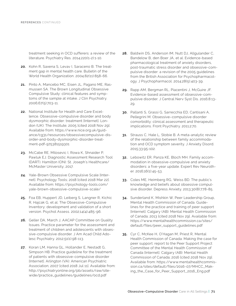treatment seeking in OCD sufferers: a review of the literature. Psychiatry Res. 2014;220(1-2):1-10.

- **20.** Kohn R, Saxena S, Levav I, Saraceno B. The treatment gap in mental health care. Bulletin of the World Health Organization. 2004;82(11):858-66.
- **21.** Pinto A, Mancebo MC, Eisen JL, Pagano ME, Rasmussen SA. The Brown Longitudinal Obsessive Compulsive Study: clinical features and symptoms of the sample at intake. J Clin Psychiatry. 2006;67(5):703-11.
- **22.** National Institute for Health and Care Excellence. Obsessive-compulsive disorder and body dysmorphic disorder: treatment [Internet]. London (UK): The Institute; 2005 [cited 2018 Nov 29]. Available from: https://www.nice.org.uk/guidance/cg31/resources/obsessivecompulsive-disorder-and-body-dysmorphic-disorder-treatment-pdf-975381519301
- **23.** McCabe RE, Milosevic I, Rowa K, Shnaider P, Pawluk EJ. Diagnostic Assessment Research Tool (DART). Hamilton (ON): St. Joseph's Healthcare/ McMaster University; 2017.
- **24.** Yale-Brown Obsessive Compulsive Scale [Internet]. Psychology Tools; 2018 [cited 2018 Mar 22]. Available from: [https://psychology-tools.com/](https://psychology-tools.com/yale-brown-obsessive-compulsive-scale/) [yale-brown-obsessive-compulsive-scale/](https://psychology-tools.com/yale-brown-obsessive-compulsive-scale/)
- **25.** Foa EB, Huppert JD, Leiberg S, Langner R, Kichic R, Hajcak G, et al. The Obsessive-Compulsive Inventory: development and validation of a short version. Psychol Assess. 2002;14(4):485-96.
- **26.** Geller DA, March J, AACAP Committee on Quality Issues. Practice parameter for the assessment and treatment of children and adolescents with obsessive-compulsive disorder. J Am Acad Child Adolesc Psychiatry. 2012;51(1):98-113.
- **27.** Koran LM, Hanna GL, Hollander E, Nestadt G, Simpson HB. Practice guideline for the treatment of patients with obsessive-compulsive disorder [Internet]. Arlington (VA): American Psychiatric Association; 2007 [cited 2018 Jul 11]. Available from: http://psychiatryonline.org/pb/assets/raw/sitewide/practice\_guidelines/guidelines/ocd.pdf
- **28.** Baldwin DS, Anderson IM, Nutt DJ, Allgulander C, Bandelow B, den Boer JA, et al. Evidence-based pharmacological treatment of anxiety disorders, post-traumatic stress disorder and obsessive-compulsive disorder: a revision of the 2005 guidelines from the British Association for Psychopharmacology. J Psychopharmacol. 2014;28(5):403-39.
- **29.** Rapp AM, Bergman RL, Piacentini J, McGuire JF. Evidence-based assessment of obsessive-compulsive disorder. J Central Nerv Syst Dis. 2016;8:13- 29.
- **30.** Pallanti S, Grassi G, Sarrecchia ED, Cantisani A, Pellegrini M. Obsessive–compulsive disorder comorbidity: clinical assessment and therapeutic implications. Front Psychiatry. 2011;2:70.
- **31.** Strauss C, Hale L, Stobie B. A meta-analytic review of the relationship between family accommodation and OCD symptom severity. J Anxiety Disord. 2015;33:95-102.
- **32.** Lebowitz ER, Panza KE, Bloch MH. Family accommodation in obsessive-compulsive and anxiety disorders: a five-year update. Expert Rev Neurother. 2016;16(1):45-53.
- **33.** Coles ME, Heimberg RG, Weiss BD. The public's knowledge and beliefs about obsessive compulsive disorder. Depress Anxiety. 2013;30(8):778-85.
- **34.** Sunderland K, Mishkin W, Peer Leadership Group, Mental Health Commission of Canada. Guidelines for the practice and training of peer support [Internet]. Calgary (AB): Mental Health Commission of Canada; 2013 [cited 2018 Nov 29]. Available from: https://www.mentalhealthcommission.ca/sites/ default/files/peer\_support\_guidelines.pdf
- **35.** Cyr C, McKee H, O'Hagan M, Priest R, Mental Health Commission of Canada. Making the case for peer support: report to the Peer Support Project Committee of the Mental Health Commission of Canada [Internet]. Calgary (AB): Mental Health Commission of Canada; 2016 [cited 2018 Nov 29]. Available from: https://www.mentalhealthcommission.ca/sites/default/files/2016-07/MHCC\_Making\_the\_Case\_for\_Peer\_Support\_2016\_Eng.pdf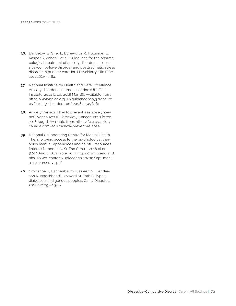- **36.** Bandelow B, Sher L, Bunevicius R, Hollander E, Kasper S, Zohar J, et al. Guidelines for the pharmacological treatment of anxiety disorders, obsessive-compulsive disorder and posttraumatic stress disorder in primary care. Int J Psychiatry Clin Pract. 2012;16(2):77-84.
- **37.** National Institute for Health and Care Excellence. Anxiety disorders [Internet]. London (UK): The Institute; 2014 [cited 2018 Mar 16]. Available from: https://www.nice.org.uk/guidance/qs53/resources/anxiety-disorders-pdf-2098725496261
- **38.** Anxiety Canada. How to prevent a relapse [Internet]. Vancouver (BC): Anxiety Canada; 2018 [cited 2018 Aug 1]. Available from: https://www.anxietycanada.com/adults/how-prevent-relapse
- **39.** National Collaborating Centre for Mental Health. The improving access to the psychological therapies manual: appendices and helpful resources [Internet]. London (UK): The Centre; 2018 cited [2019 Aug 8]. Available from: [https://www.england.](https://www.england.nhs.uk/wp-content/uploads/2018/06/iapt-manual-resources-v2.pdf) [nhs.uk/wp-content/uploads/2018/06/iapt-manu](https://www.england.nhs.uk/wp-content/uploads/2018/06/iapt-manual-resources-v2.pdf)[al-resources-v2.pdf](https://www.england.nhs.uk/wp-content/uploads/2018/06/iapt-manual-resources-v2.pdf)
- **40.** Crowshoe L, Dannenbaum D, Green M, Henderson R, Naqshbandi Hayward M, Toth E. Type 2 diabetes in Indigenous peoples. Can J Diabetes. 2018;42:S296-S306.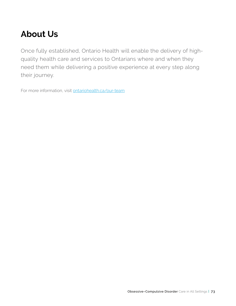## **About Us**

Once fully established, Ontario Health will enable the delivery of highquality health care and services to Ontarians where and when they need them while delivering a positive experience at every step along their journey.

For more information, visit [ontariohealth.ca/our-team](https://www.ontariohealth.ca/our-team)